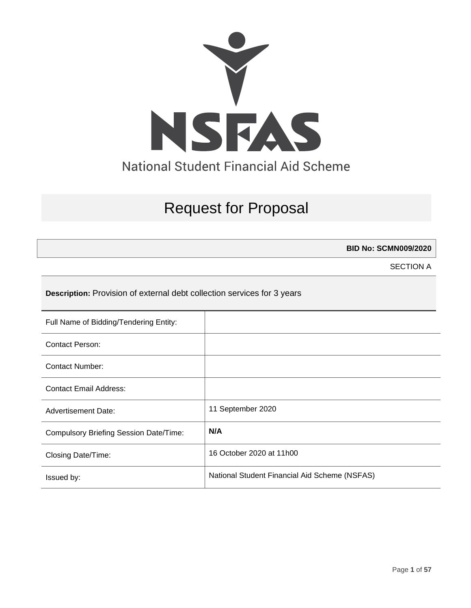

# Request for Proposal

**BID No: SCMN009/2020**

SECTION A

**Description:** Provision of external debt collection services for 3 years

| Full Name of Bidding/Tendering Entity:        |                                               |
|-----------------------------------------------|-----------------------------------------------|
| Contact Person:                               |                                               |
| <b>Contact Number:</b>                        |                                               |
| <b>Contact Email Address:</b>                 |                                               |
| <b>Advertisement Date:</b>                    | 11 September 2020                             |
| <b>Compulsory Briefing Session Date/Time:</b> | N/A                                           |
| Closing Date/Time:                            | 16 October 2020 at 11h00                      |
| Issued by:                                    | National Student Financial Aid Scheme (NSFAS) |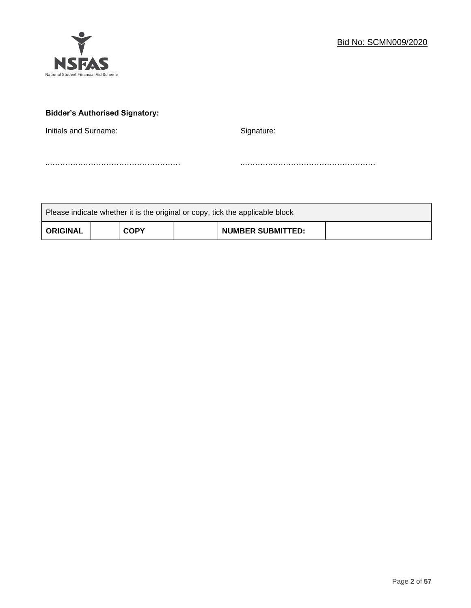

# **Bidder's Authorised Signatory:**

Initials and Surname: Signature: Signature:

..…………………………………………… ..……………………………………………

| Please indicate whether it is the original or copy, tick the applicable block |  |             |  |                          |  |
|-------------------------------------------------------------------------------|--|-------------|--|--------------------------|--|
| <b>ORIGINAL</b>                                                               |  | <b>COPY</b> |  | <b>NUMBER SUBMITTED:</b> |  |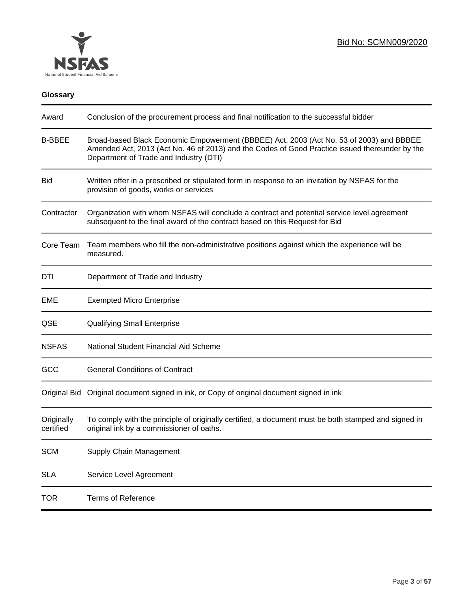

# **Glossary**

| Award                   | Conclusion of the procurement process and final notification to the successful bidder                                                                                                                                               |
|-------------------------|-------------------------------------------------------------------------------------------------------------------------------------------------------------------------------------------------------------------------------------|
| <b>B-BBEE</b>           | Broad-based Black Economic Empowerment (BBBEE) Act, 2003 (Act No. 53 of 2003) and BBBEE<br>Amended Act, 2013 (Act No. 46 of 2013) and the Codes of Good Practice issued thereunder by the<br>Department of Trade and Industry (DTI) |
| <b>Bid</b>              | Written offer in a prescribed or stipulated form in response to an invitation by NSFAS for the<br>provision of goods, works or services                                                                                             |
| Contractor              | Organization with whom NSFAS will conclude a contract and potential service level agreement<br>subsequent to the final award of the contract based on this Request for Bid                                                          |
| Core Team               | Team members who fill the non-administrative positions against which the experience will be<br>measured.                                                                                                                            |
| DTI                     | Department of Trade and Industry                                                                                                                                                                                                    |
| EME                     | <b>Exempted Micro Enterprise</b>                                                                                                                                                                                                    |
| QSE                     | <b>Qualifying Small Enterprise</b>                                                                                                                                                                                                  |
| <b>NSFAS</b>            | National Student Financial Aid Scheme                                                                                                                                                                                               |
| GCC                     | <b>General Conditions of Contract</b>                                                                                                                                                                                               |
|                         | Original Bid Original document signed in ink, or Copy of original document signed in ink                                                                                                                                            |
| Originally<br>certified | To comply with the principle of originally certified, a document must be both stamped and signed in<br>original ink by a commissioner of oaths.                                                                                     |
| <b>SCM</b>              | Supply Chain Management                                                                                                                                                                                                             |
| <b>SLA</b>              | Service Level Agreement                                                                                                                                                                                                             |
| <b>TOR</b>              | <b>Terms of Reference</b>                                                                                                                                                                                                           |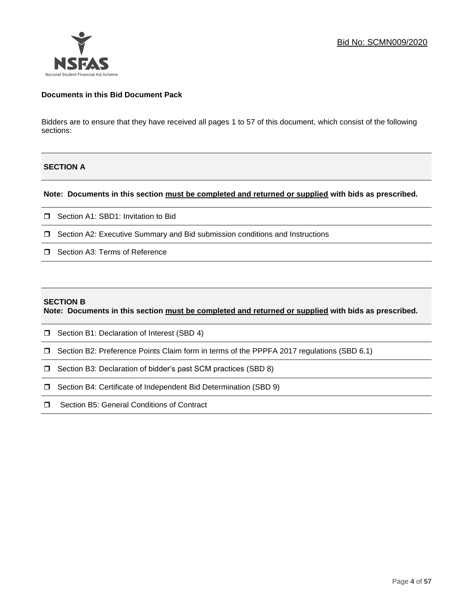## **Documents in this Bid Document Pack**

Bidders are to ensure that they have received all pages 1 to 57 of this document, which consist of the following sections:

# **SECTION A**

**Note: Documents in this section must be completed and returned or supplied with bids as prescribed.**

- □ Section A1: SBD1: Invitation to Bid
- Section A2: Executive Summary and Bid submission conditions and Instructions
- □ Section A3: Terms of Reference

#### **SECTION B**

**Note: Documents in this section must be completed and returned or supplied with bids as prescribed.**

- **D** Section B1: Declaration of Interest (SBD 4)
- Section B2: Preference Points Claim form in terms of the PPPFA 2017 regulations (SBD 6.1)
- □ Section B3: Declaration of bidder's past SCM practices (SBD 8)
- □ Section B4: Certificate of Independent Bid Determination (SBD 9)
- **I** Section B5: General Conditions of Contract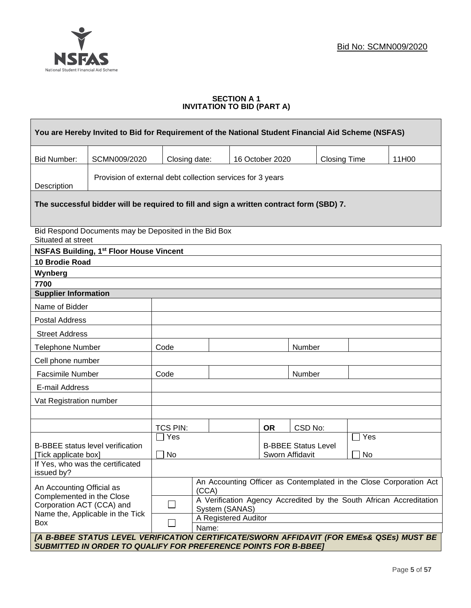

## **SECTION A 1 INVITATION TO BID (PART A)**

| You are Hereby Invited to Bid for Requirement of the National Student Financial Aid Scheme (NSFAS) |                                                                                                                                                                    |                                                                                                 |                      |  |                 |                            |                     |                 |       |
|----------------------------------------------------------------------------------------------------|--------------------------------------------------------------------------------------------------------------------------------------------------------------------|-------------------------------------------------------------------------------------------------|----------------------|--|-----------------|----------------------------|---------------------|-----------------|-------|
| <b>Bid Number:</b>                                                                                 | SCMN009/2020                                                                                                                                                       | Closing date:                                                                                   |                      |  | 16 October 2020 |                            | <b>Closing Time</b> |                 | 11H00 |
| Provision of external debt collection services for 3 years<br>Description                          |                                                                                                                                                                    |                                                                                                 |                      |  |                 |                            |                     |                 |       |
|                                                                                                    | The successful bidder will be required to fill and sign a written contract form (SBD) 7.                                                                           |                                                                                                 |                      |  |                 |                            |                     |                 |       |
|                                                                                                    | Bid Respond Documents may be Deposited in the Bid Box<br>Situated at street                                                                                        |                                                                                                 |                      |  |                 |                            |                     |                 |       |
|                                                                                                    | <b>NSFAS Building, 1st Floor House Vincent</b>                                                                                                                     |                                                                                                 |                      |  |                 |                            |                     |                 |       |
| 10 Brodie Road                                                                                     |                                                                                                                                                                    |                                                                                                 |                      |  |                 |                            |                     |                 |       |
| Wynberg<br>7700                                                                                    |                                                                                                                                                                    |                                                                                                 |                      |  |                 |                            |                     |                 |       |
| <b>Supplier Information</b>                                                                        |                                                                                                                                                                    |                                                                                                 |                      |  |                 |                            |                     |                 |       |
| Name of Bidder                                                                                     |                                                                                                                                                                    |                                                                                                 |                      |  |                 |                            |                     |                 |       |
| <b>Postal Address</b>                                                                              |                                                                                                                                                                    |                                                                                                 |                      |  |                 |                            |                     |                 |       |
| <b>Street Address</b>                                                                              |                                                                                                                                                                    |                                                                                                 |                      |  |                 |                            |                     |                 |       |
| <b>Telephone Number</b>                                                                            |                                                                                                                                                                    | Code                                                                                            |                      |  |                 | Number                     |                     |                 |       |
| Cell phone number                                                                                  |                                                                                                                                                                    |                                                                                                 |                      |  |                 |                            |                     |                 |       |
| Facsimile Number                                                                                   |                                                                                                                                                                    | Code                                                                                            |                      |  |                 | Number                     |                     |                 |       |
| E-mail Address                                                                                     |                                                                                                                                                                    |                                                                                                 |                      |  |                 |                            |                     |                 |       |
| Vat Registration number                                                                            |                                                                                                                                                                    |                                                                                                 |                      |  |                 |                            |                     |                 |       |
|                                                                                                    |                                                                                                                                                                    |                                                                                                 |                      |  |                 |                            |                     |                 |       |
|                                                                                                    |                                                                                                                                                                    | <b>TCS PIN:</b>                                                                                 |                      |  | <b>OR</b>       | CSD No:                    |                     |                 |       |
|                                                                                                    |                                                                                                                                                                    | $\Box$ Yes                                                                                      |                      |  |                 | <b>B-BBEE Status Level</b> |                     | $\sqsupset$ Yes |       |
| [Tick applicate box]                                                                               | <b>B-BBEE</b> status level verification                                                                                                                            | <b>No</b>                                                                                       |                      |  |                 | Sworn Affidavit            |                     | No              |       |
| issued by?                                                                                         | If Yes, who was the certificated                                                                                                                                   |                                                                                                 |                      |  |                 |                            |                     |                 |       |
| An Accounting Official as                                                                          |                                                                                                                                                                    | An Accounting Officer as Contemplated in the Close Corporation Act<br>(CCA)                     |                      |  |                 |                            |                     |                 |       |
| Complemented in the Close<br>Corporation ACT (CCA) and                                             |                                                                                                                                                                    | A Verification Agency Accredited by the South African Accreditation<br>$\Box$<br>System (SANAS) |                      |  |                 |                            |                     |                 |       |
|                                                                                                    | Name the, Applicable in the Tick                                                                                                                                   |                                                                                                 | A Registered Auditor |  |                 |                            |                     |                 |       |
| Box                                                                                                |                                                                                                                                                                    | $\vert \ \ \vert$                                                                               | Name:                |  |                 |                            |                     |                 |       |
|                                                                                                    | [A B-BBEE STATUS LEVEL VERIFICATION CERTIFICATE/SWORN AFFIDAVIT (FOR EMEs& QSEs) MUST BE<br><b>SUBMITTED IN ORDER TO QUALIFY FOR PREFERENCE POINTS FOR B-BBEE]</b> |                                                                                                 |                      |  |                 |                            |                     |                 |       |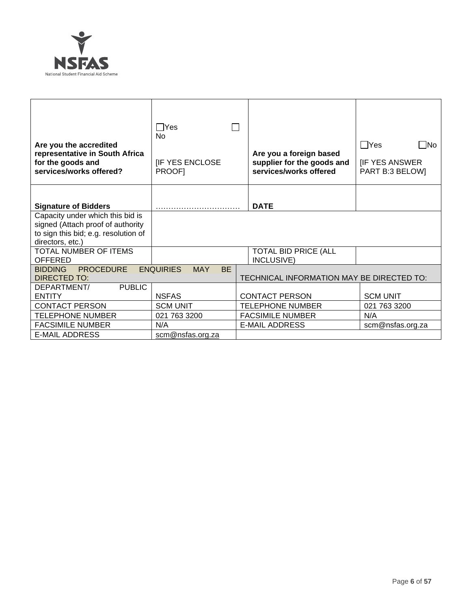

| Are you the accredited<br>representative in South Africa<br>for the goods and<br>services/works offered?                          | $\Box$ Yes<br>N <sub>0</sub><br><b>IF YES ENCLOSE</b><br><b>PROOFI</b> | Are you a foreign based<br>supplier for the goods and<br>services/works offered | $\Box$ Yes<br>l INo<br><b>IF YES ANSWER</b><br>PART B:3 BELOW] |
|-----------------------------------------------------------------------------------------------------------------------------------|------------------------------------------------------------------------|---------------------------------------------------------------------------------|----------------------------------------------------------------|
| <b>Signature of Bidders</b>                                                                                                       |                                                                        | <b>DATE</b>                                                                     |                                                                |
| Capacity under which this bid is<br>signed (Attach proof of authority<br>to sign this bid; e.g. resolution of<br>directors, etc.) |                                                                        |                                                                                 |                                                                |
| <b>TOTAL NUMBER OF ITEMS</b><br><b>OFFERED</b>                                                                                    |                                                                        | <b>TOTAL BID PRICE (ALL</b><br>INCLUSIVE)                                       |                                                                |
| <b>PROCEDURE</b><br><b>BIDDING</b><br>DIRECTED TO:                                                                                | <b>ENQUIRIES</b><br><b>MAY</b><br><b>BE</b>                            | TECHNICAL INFORMATION MAY BE DIRECTED TO:                                       |                                                                |
| <b>PUBLIC</b><br>DEPARTMENT/<br><b>ENTITY</b>                                                                                     | <b>NSFAS</b>                                                           | <b>CONTACT PERSON</b>                                                           | <b>SCM UNIT</b>                                                |
| <b>CONTACT PERSON</b>                                                                                                             | <b>SCM UNIT</b>                                                        | <b>TELEPHONE NUMBER</b>                                                         | 021 763 3200                                                   |
| <b>TELEPHONE NUMBER</b>                                                                                                           | 021 763 3200                                                           | <b>FACSIMILE NUMBER</b>                                                         | N/A                                                            |
| <b>FACSIMILE NUMBER</b>                                                                                                           | N/A                                                                    | <b>E-MAIL ADDRESS</b>                                                           | scm@nsfas.org.za                                               |
| <b>E-MAIL ADDRESS</b>                                                                                                             | scm@nsfas.org.za                                                       |                                                                                 |                                                                |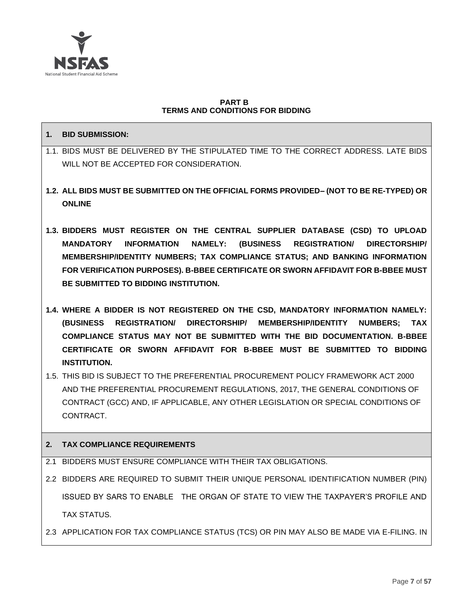

## **PART B TERMS AND CONDITIONS FOR BIDDING**

# **1. BID SUBMISSION:**

- 1.1. BIDS MUST BE DELIVERED BY THE STIPULATED TIME TO THE CORRECT ADDRESS. LATE BIDS WILL NOT BE ACCEPTED FOR CONSIDERATION.
- **1.2. ALL BIDS MUST BE SUBMITTED ON THE OFFICIAL FORMS PROVIDED– (NOT TO BE RE-TYPED) OR ONLINE**
- **1.3. BIDDERS MUST REGISTER ON THE CENTRAL SUPPLIER DATABASE (CSD) TO UPLOAD MANDATORY INFORMATION NAMELY: (BUSINESS REGISTRATION/ DIRECTORSHIP/ MEMBERSHIP/IDENTITY NUMBERS; TAX COMPLIANCE STATUS; AND BANKING INFORMATION FOR VERIFICATION PURPOSES). B-BBEE CERTIFICATE OR SWORN AFFIDAVIT FOR B-BBEE MUST BE SUBMITTED TO BIDDING INSTITUTION.**
- **1.4. WHERE A BIDDER IS NOT REGISTERED ON THE CSD, MANDATORY INFORMATION NAMELY: (BUSINESS REGISTRATION/ DIRECTORSHIP/ MEMBERSHIP/IDENTITY NUMBERS; TAX COMPLIANCE STATUS MAY NOT BE SUBMITTED WITH THE BID DOCUMENTATION. B-BBEE CERTIFICATE OR SWORN AFFIDAVIT FOR B-BBEE MUST BE SUBMITTED TO BIDDING INSTITUTION.**
- 1.5. THIS BID IS SUBJECT TO THE PREFERENTIAL PROCUREMENT POLICY FRAMEWORK ACT 2000 AND THE PREFERENTIAL PROCUREMENT REGULATIONS, 2017, THE GENERAL CONDITIONS OF CONTRACT (GCC) AND, IF APPLICABLE, ANY OTHER LEGISLATION OR SPECIAL CONDITIONS OF CONTRACT.

# **2. TAX COMPLIANCE REQUIREMENTS**

- 2.1 BIDDERS MUST ENSURE COMPLIANCE WITH THEIR TAX OBLIGATIONS.
- 2.2 BIDDERS ARE REQUIRED TO SUBMIT THEIR UNIQUE PERSONAL IDENTIFICATION NUMBER (PIN) ISSUED BY SARS TO ENABLE THE ORGAN OF STATE TO VIEW THE TAXPAYER'S PROFILE AND TAX STATUS.
- 2.3 APPLICATION FOR TAX COMPLIANCE STATUS (TCS) OR PIN MAY ALSO BE MADE VIA E-FILING. IN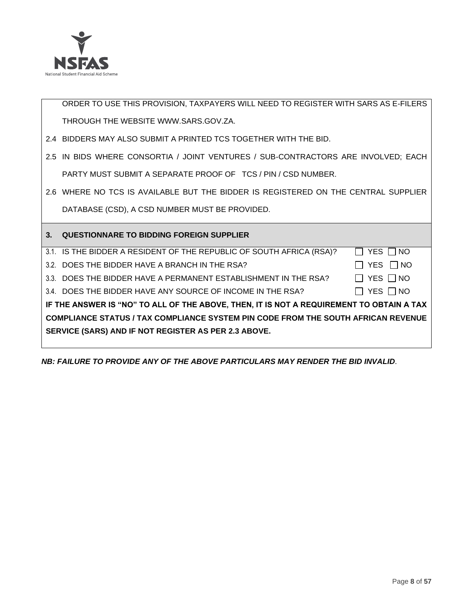

ORDER TO USE THIS PROVISION, TAXPAYERS WILL NEED TO REGISTER WITH SARS AS E-FILERS THROUGH THE WEBSITE [WWW.SARS.GOV.ZA.](http://www.sars.gov.za/)

- 2.4 BIDDERS MAY ALSO SUBMIT A PRINTED TCS TOGETHER WITH THE BID.
- 2.5 IN BIDS WHERE CONSORTIA / JOINT VENTURES / SUB-CONTRACTORS ARE INVOLVED; EACH PARTY MUST SUBMIT A SEPARATE PROOF OF TCS / PIN / CSD NUMBER.
- 2.6 WHERE NO TCS IS AVAILABLE BUT THE BIDDER IS REGISTERED ON THE CENTRAL SUPPLIER DATABASE (CSD), A CSD NUMBER MUST BE PROVIDED.

| $3_{-}$ | <b>QUESTIONNARE TO BIDDING FOREIGN SUPPLIER</b>                                          |               |  |  |  |  |
|---------|------------------------------------------------------------------------------------------|---------------|--|--|--|--|
|         | 3.1. IS THE BIDDER A RESIDENT OF THE REPUBLIC OF SOUTH AFRICA (RSA)?                     | YES     NO    |  |  |  |  |
|         | 3.2. DOES THE BIDDER HAVE A BRANCH IN THE RSA?                                           | YES     NO    |  |  |  |  |
|         | 3.3. DOES THE BIDDER HAVE A PERMANENT ESTABLISHMENT IN THE RSA?                          | YES     NO    |  |  |  |  |
|         | 3.4. DOES THE BIDDER HAVE ANY SOURCE OF INCOME IN THE RSA?                               | YES $\Box$ NO |  |  |  |  |
|         | IF THE ANSWER IS "NO" TO ALL OF THE ABOVE, THEN, IT IS NOT A REQUIREMENT TO OBTAIN A TAX |               |  |  |  |  |
|         | <b>COMPLIANCE STATUS / TAX COMPLIANCE SYSTEM PIN CODE FROM THE SOUTH AFRICAN REVENUE</b> |               |  |  |  |  |
|         | SERVICE (SARS) AND IF NOT REGISTER AS PER 2.3 ABOVE.                                     |               |  |  |  |  |
|         |                                                                                          |               |  |  |  |  |

*NB: FAILURE TO PROVIDE ANY OF THE ABOVE PARTICULARS MAY RENDER THE BID INVALID.*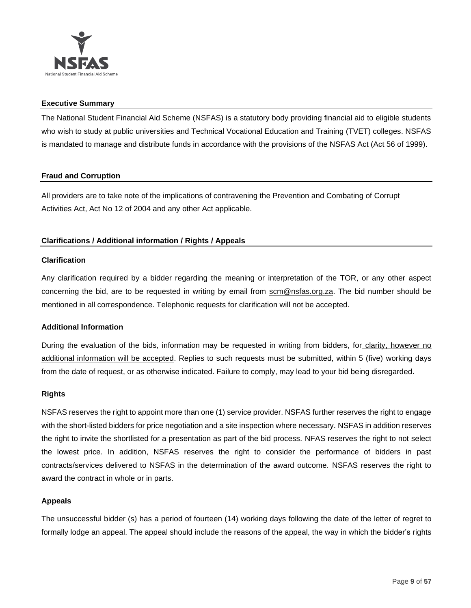

## **Executive Summary**

The National Student Financial Aid Scheme (NSFAS) is a statutory body providing financial aid to eligible students who wish to study at public universities and Technical Vocational Education and Training (TVET) colleges. NSFAS is mandated to manage and distribute funds in accordance with the provisions of the NSFAS Act (Act 56 of 1999).

# **Fraud and Corruption**

All providers are to take note of the implications of contravening the Prevention and Combating of Corrupt Activities Act, Act No 12 of 2004 and any other Act applicable.

# **Clarifications / Additional information / Rights / Appeals**

## **Clarification**

Any clarification required by a bidder regarding the meaning or interpretation of the TOR, or any other aspect concerning the bid, are to be requested in writing by email from scm@nsfas.org.za. The bid number should be mentioned in all correspondence. Telephonic requests for clarification will not be accepted.

## **Additional Information**

During the evaluation of the bids, information may be requested in writing from bidders, for clarity, however no additional information will be accepted. Replies to such requests must be submitted, within 5 (five) working days from the date of request, or as otherwise indicated. Failure to comply, may lead to your bid being disregarded.

## **Rights**

NSFAS reserves the right to appoint more than one (1) service provider. NSFAS further reserves the right to engage with the short-listed bidders for price negotiation and a site inspection where necessary. NSFAS in addition reserves the right to invite the shortlisted for a presentation as part of the bid process. NFAS reserves the right to not select the lowest price. In addition, NSFAS reserves the right to consider the performance of bidders in past contracts/services delivered to NSFAS in the determination of the award outcome. NSFAS reserves the right to award the contract in whole or in parts.

# **Appeals**

The unsuccessful bidder (s) has a period of fourteen (14) working days following the date of the letter of regret to formally lodge an appeal. The appeal should include the reasons of the appeal, the way in which the bidder's rights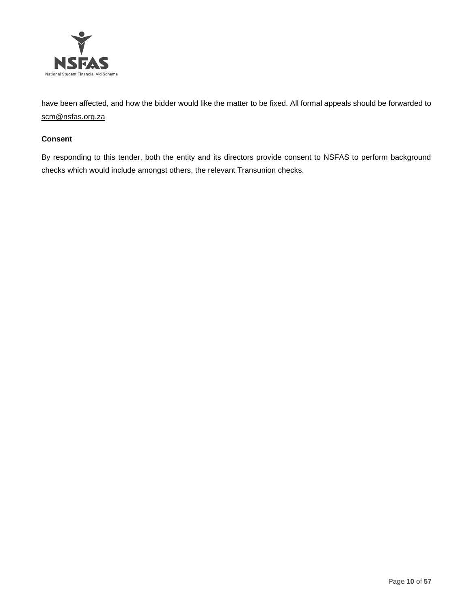

have been affected, and how the bidder would like the matter to be fixed. All formal appeals should be forwarded to [scm@nsfas.org.za](mailto:scm@nsfas.org.za)

## **Consent**

By responding to this tender, both the entity and its directors provide consent to NSFAS to perform background checks which would include amongst others, the relevant Transunion checks.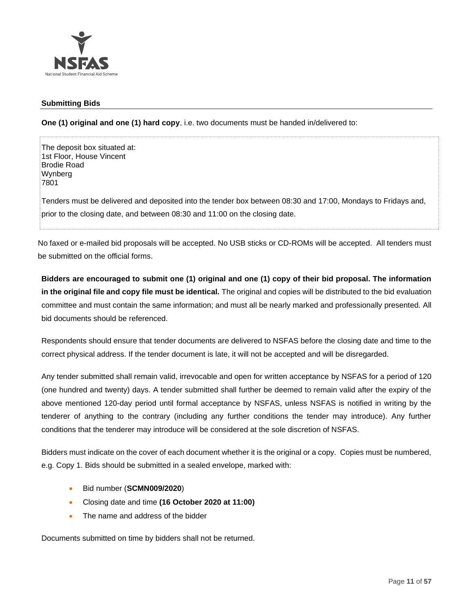

# **Submitting Bids**

**One (1) original and one (1) hard copy**, i.e. two documents must be handed in/delivered to:

The deposit box situated at: 1st Floor, House Vincent Brodie Road Wynberg 7801

Tenders must be delivered and deposited into the tender box between 08:30 and 17:00, Mondays to Fridays and, prior to the closing date, and between 08:30 and 11:00 on the closing date.

No faxed or e-mailed bid proposals will be accepted. No USB sticks or CD-ROMs will be accepted. All tenders must be submitted on the official forms.

**Bidders are encouraged to submit one (1) original and one (1) copy of their bid proposal. The information in the original file and copy file must be identical.** The original and copies will be distributed to the bid evaluation committee and must contain the same information; and must all be nearly marked and professionally presented. All bid documents should be referenced.

Respondents should ensure that tender documents are delivered to NSFAS before the closing date and time to the correct physical address. If the tender document is late, it will not be accepted and will be disregarded.

Any tender submitted shall remain valid, irrevocable and open for written acceptance by NSFAS for a period of 120 (one hundred and twenty) days. A tender submitted shall further be deemed to remain valid after the expiry of the above mentioned 120-day period until formal acceptance by NSFAS, unless NSFAS is notified in writing by the tenderer of anything to the contrary (including any further conditions the tender may introduce). Any further conditions that the tenderer may introduce will be considered at the sole discretion of NSFAS.

Bidders must indicate on the cover of each document whether it is the original or a copy. Copies must be numbered, e.g. Copy 1. Bids should be submitted in a sealed envelope, marked with:

- Bid number (**SCMN009/2020**)
- Closing date and time **(16 October 2020 at 11:00)**
- The name and address of the bidder

Documents submitted on time by bidders shall not be returned.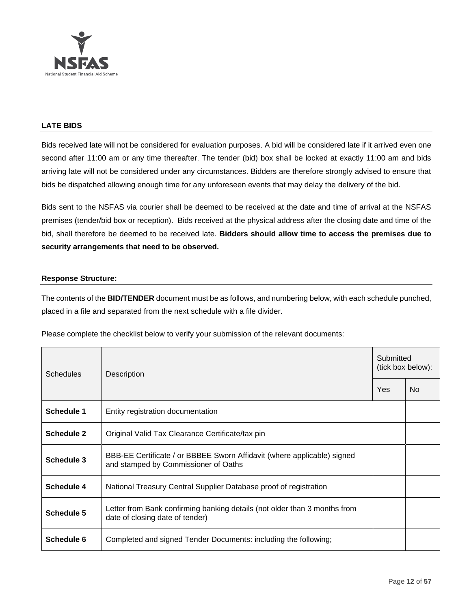

## **LATE BIDS**

Bids received late will not be considered for evaluation purposes. A bid will be considered late if it arrived even one second after 11:00 am or any time thereafter. The tender (bid) box shall be locked at exactly 11:00 am and bids arriving late will not be considered under any circumstances. Bidders are therefore strongly advised to ensure that bids be dispatched allowing enough time for any unforeseen events that may delay the delivery of the bid.

Bids sent to the NSFAS via courier shall be deemed to be received at the date and time of arrival at the NSFAS premises (tender/bid box or reception). Bids received at the physical address after the closing date and time of the bid, shall therefore be deemed to be received late. **Bidders should allow time to access the premises due to security arrangements that need to be observed.**

## **Response Structure:**

The contents of the **BID/TENDER** document must be as follows, and numbering below, with each schedule punched, placed in a file and separated from the next schedule with a file divider.

Please complete the checklist below to verify your submission of the relevant documents:

| <b>Schedules</b>  | Description                                                                                                     |  | Submitted<br>(tick box below): |  |
|-------------------|-----------------------------------------------------------------------------------------------------------------|--|--------------------------------|--|
|                   |                                                                                                                 |  | No.                            |  |
| Schedule 1        | Entity registration documentation                                                                               |  |                                |  |
| <b>Schedule 2</b> | Original Valid Tax Clearance Certificate/tax pin                                                                |  |                                |  |
| Schedule 3        | BBB-EE Certificate / or BBBEE Sworn Affidavit (where applicable) signed<br>and stamped by Commissioner of Oaths |  |                                |  |
| Schedule 4        | National Treasury Central Supplier Database proof of registration                                               |  |                                |  |
| Schedule 5        | Letter from Bank confirming banking details (not older than 3 months from<br>date of closing date of tender)    |  |                                |  |
| Schedule 6        | Completed and signed Tender Documents: including the following;                                                 |  |                                |  |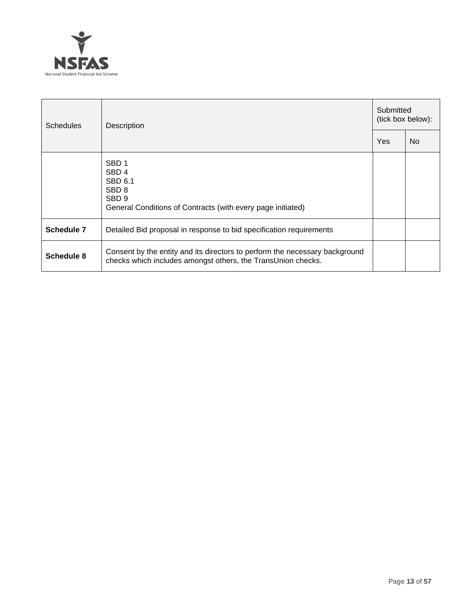

| <b>Schedules</b> | Description                                                                                                                                            |     | Submitted<br>(tick box below): |  |  |
|------------------|--------------------------------------------------------------------------------------------------------------------------------------------------------|-----|--------------------------------|--|--|
|                  |                                                                                                                                                        | Yes | No.                            |  |  |
|                  | SBD <sub>1</sub><br>SBD <sub>4</sub><br>SBD 6.1<br>SBD <sub>8</sub><br>SBD <sub>9</sub><br>General Conditions of Contracts (with every page initiated) |     |                                |  |  |
| Schedule 7       | Detailed Bid proposal in response to bid specification requirements                                                                                    |     |                                |  |  |
| Schedule 8       | Consent by the entity and its directors to perform the necessary background<br>checks which includes amongst others, the TransUnion checks.            |     |                                |  |  |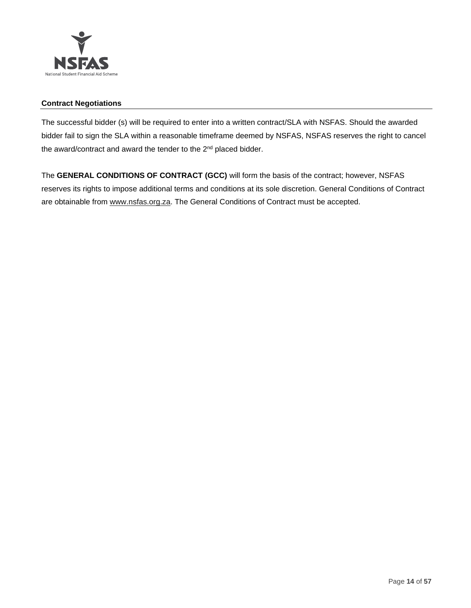

# **Contract Negotiations**

The successful bidder (s) will be required to enter into a written contract/SLA with NSFAS. Should the awarded bidder fail to sign the SLA within a reasonable timeframe deemed by NSFAS, NSFAS reserves the right to cancel the award/contract and award the tender to the 2<sup>nd</sup> placed bidder.

The **GENERAL CONDITIONS OF CONTRACT (GCC)** will form the basis of the contract; however, NSFAS reserves its rights to impose additional terms and conditions at its sole discretion. General Conditions of Contract are obtainable from [www.nsfas.org.za.](http://www.nsfas.org.za/) The General Conditions of Contract must be accepted.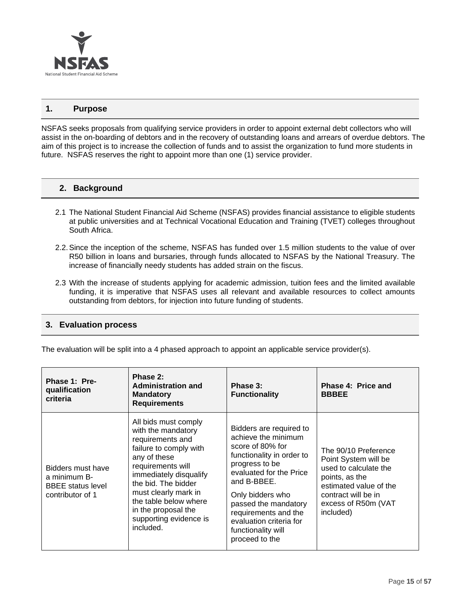

## **1. Purpose**

NSFAS seeks proposals from qualifying service providers in order to appoint external debt collectors who will assist in the on-boarding of debtors and in the recovery of outstanding loans and arrears of overdue debtors. The aim of this project is to increase the collection of funds and to assist the organization to fund more students in future. NSFAS reserves the right to appoint more than one (1) service provider.

## **2. Background**

- 2.1 The National Student Financial Aid Scheme (NSFAS) provides financial assistance to eligible students at public universities and at Technical Vocational Education and Training (TVET) colleges throughout South Africa.
- 2.2.Since the inception of the scheme, NSFAS has funded over 1.5 million students to the value of over R50 billion in loans and bursaries, through funds allocated to NSFAS by the National Treasury. The increase of financially needy students has added strain on the fiscus.
- 2.3 With the increase of students applying for academic admission, tuition fees and the limited available funding, it is imperative that NSFAS uses all relevant and available resources to collect amounts outstanding from debtors, for injection into future funding of students.

# **3. Evaluation process**

The evaluation will be split into a 4 phased approach to appoint an applicable service provider(s).

| Phase 1: Pre-<br>qualification<br>criteria                                        | Phase 2:<br><b>Administration and</b><br><b>Mandatory</b><br><b>Requirements</b>                                                                                                                                                                                                              | Phase 3:<br><b>Functionality</b>                                                                                                                                                                                                                                                                   | Phase 4: Price and<br><b>BBBEE</b>                                                                                                                                           |
|-----------------------------------------------------------------------------------|-----------------------------------------------------------------------------------------------------------------------------------------------------------------------------------------------------------------------------------------------------------------------------------------------|----------------------------------------------------------------------------------------------------------------------------------------------------------------------------------------------------------------------------------------------------------------------------------------------------|------------------------------------------------------------------------------------------------------------------------------------------------------------------------------|
| Bidders must have<br>a minimum B-<br><b>BBEE</b> status level<br>contributor of 1 | All bids must comply<br>with the mandatory<br>requirements and<br>failure to comply with<br>any of these<br>requirements will<br>immediately disqualify<br>the bid. The bidder<br>must clearly mark in<br>the table below where<br>in the proposal the<br>supporting evidence is<br>included. | Bidders are required to<br>achieve the minimum<br>score of 80% for<br>functionality in order to<br>progress to be<br>evaluated for the Price<br>and B-BBEE.<br>Only bidders who<br>passed the mandatory<br>requirements and the<br>evaluation criteria for<br>functionality will<br>proceed to the | The 90/10 Preference<br>Point System will be<br>used to calculate the<br>points, as the<br>estimated value of the<br>contract will be in<br>excess of R50m (VAT<br>included) |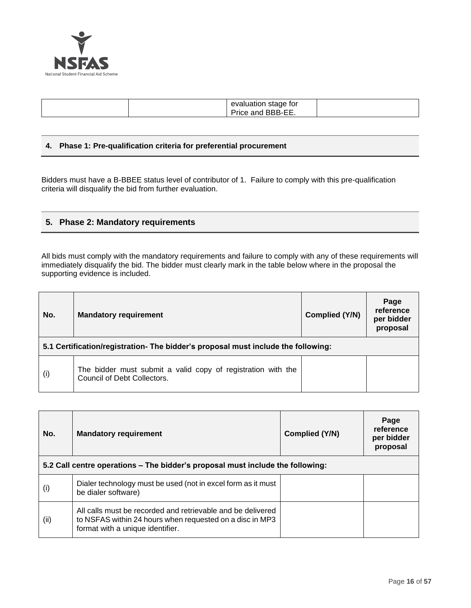

| evaluation stage for<br>BBB-EE.<br>Price L<br>and |  |
|---------------------------------------------------|--|
|---------------------------------------------------|--|

## **4. Phase 1: Pre-qualification criteria for preferential procurement**

Bidders must have a B-BBEE status level of contributor of 1. Failure to comply with this pre-qualification criteria will disqualify the bid from further evaluation.

# **5. Phase 2: Mandatory requirements**

All bids must comply with the mandatory requirements and failure to comply with any of these requirements will immediately disqualify the bid. The bidder must clearly mark in the table below where in the proposal the supporting evidence is included.

| No. | <b>Mandatory requirement</b>                                                                |  | Page<br>reference<br>per bidder<br>proposal |  |  |  |
|-----|---------------------------------------------------------------------------------------------|--|---------------------------------------------|--|--|--|
|     | 5.1 Certification/registration- The bidder's proposal must include the following:           |  |                                             |  |  |  |
| (i) | The bidder must submit a valid copy of registration with the<br>Council of Debt Collectors. |  |                                             |  |  |  |

| No. | <b>Mandatory requirement</b>                                                                                                                                | Complied (Y/N) | Page<br>reference<br>per bidder<br>proposal |
|-----|-------------------------------------------------------------------------------------------------------------------------------------------------------------|----------------|---------------------------------------------|
|     | 5.2 Call centre operations – The bidder's proposal must include the following:                                                                              |                |                                             |
| (i) | Dialer technology must be used (not in excel form as it must<br>be dialer software)                                                                         |                |                                             |
| (i) | All calls must be recorded and retrievable and be delivered<br>to NSFAS within 24 hours when requested on a disc in MP3<br>format with a unique identifier. |                |                                             |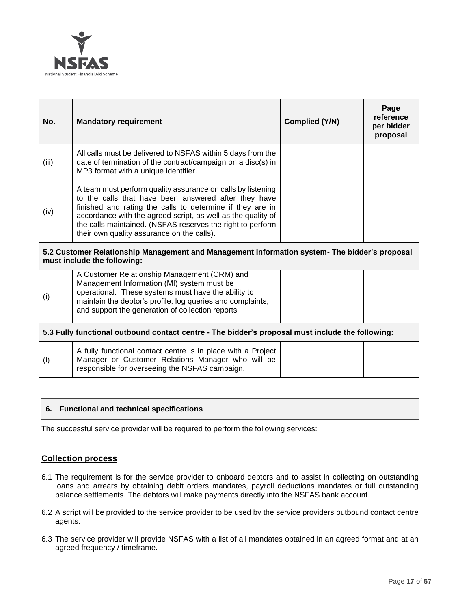

| No.                                                                                                                          | <b>Mandatory requirement</b>                                                                                                                                                                                                                                                                                                                                 | Complied (Y/N) | Page<br>reference<br>per bidder<br>proposal |  |
|------------------------------------------------------------------------------------------------------------------------------|--------------------------------------------------------------------------------------------------------------------------------------------------------------------------------------------------------------------------------------------------------------------------------------------------------------------------------------------------------------|----------------|---------------------------------------------|--|
| (iii)                                                                                                                        | All calls must be delivered to NSFAS within 5 days from the<br>date of termination of the contract/campaign on a disc(s) in<br>MP3 format with a unique identifier.                                                                                                                                                                                          |                |                                             |  |
| (iv)                                                                                                                         | A team must perform quality assurance on calls by listening<br>to the calls that have been answered after they have<br>finished and rating the calls to determine if they are in<br>accordance with the agreed script, as well as the quality of<br>the calls maintained. (NSFAS reserves the right to perform<br>their own quality assurance on the calls). |                |                                             |  |
| 5.2 Customer Relationship Management and Management Information system- The bidder's proposal<br>must include the following: |                                                                                                                                                                                                                                                                                                                                                              |                |                                             |  |
| (i)                                                                                                                          | A Customer Relationship Management (CRM) and<br>Management Information (MI) system must be<br>operational. These systems must have the ability to<br>maintain the debtor's profile, log queries and complaints,<br>and support the generation of collection reports                                                                                          |                |                                             |  |
| 5.3 Fully functional outbound contact centre - The bidder's proposal must include the following:                             |                                                                                                                                                                                                                                                                                                                                                              |                |                                             |  |
| (i)                                                                                                                          | A fully functional contact centre is in place with a Project<br>Manager or Customer Relations Manager who will be<br>responsible for overseeing the NSFAS campaign.                                                                                                                                                                                          |                |                                             |  |

# **6. Functional and technical specifications**

The successful service provider will be required to perform the following services:

# **Collection process**

- 6.1 The requirement is for the service provider to onboard debtors and to assist in collecting on outstanding loans and arrears by obtaining debit orders mandates, payroll deductions mandates or full outstanding balance settlements. The debtors will make payments directly into the NSFAS bank account.
- 6.2 A script will be provided to the service provider to be used by the service providers outbound contact centre agents.
- 6.3 The service provider will provide NSFAS with a list of all mandates obtained in an agreed format and at an agreed frequency / timeframe.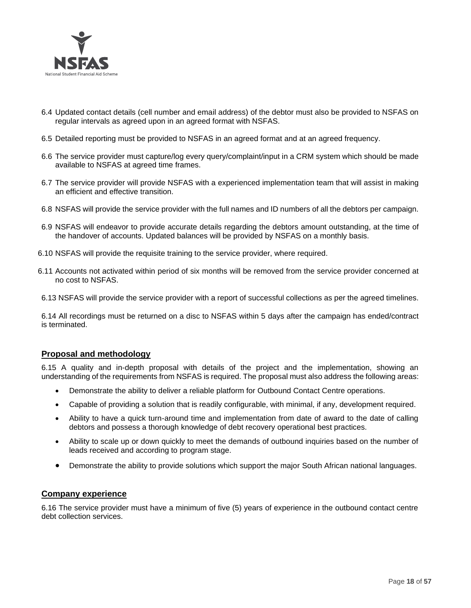

- 6.4 Updated contact details (cell number and email address) of the debtor must also be provided to NSFAS on regular intervals as agreed upon in an agreed format with NSFAS.
- 6.5 Detailed reporting must be provided to NSFAS in an agreed format and at an agreed frequency.
- 6.6 The service provider must capture/log every query/complaint/input in a CRM system which should be made available to NSFAS at agreed time frames.
- 6.7 The service provider will provide NSFAS with a experienced implementation team that will assist in making an efficient and effective transition.
- 6.8 NSFAS will provide the service provider with the full names and ID numbers of all the debtors per campaign.
- 6.9 NSFAS will endeavor to provide accurate details regarding the debtors amount outstanding, at the time of the handover of accounts. Updated balances will be provided by NSFAS on a monthly basis.
- 6.10 NSFAS will provide the requisite training to the service provider, where required.
- 6.11 Accounts not activated within period of six months will be removed from the service provider concerned at no cost to NSFAS.
- 6.13 NSFAS will provide the service provider with a report of successful collections as per the agreed timelines.

6.14 All recordings must be returned on a disc to NSFAS within 5 days after the campaign has ended/contract is terminated.

# **Proposal and methodology**

6.15 A quality and in-depth proposal with details of the project and the implementation, showing an understanding of the requirements from NSFAS is required. The proposal must also address the following areas:

- Demonstrate the ability to deliver a reliable platform for Outbound Contact Centre operations.
- Capable of providing a solution that is readily configurable, with minimal, if any, development required.
- Ability to have a quick turn-around time and implementation from date of award to the date of calling debtors and possess a thorough knowledge of debt recovery operational best practices.
- Ability to scale up or down quickly to meet the demands of outbound inquiries based on the number of leads received and according to program stage.
- Demonstrate the ability to provide solutions which support the major South African national languages.

## **Company experience**

6.16 The service provider must have a minimum of five (5) years of experience in the outbound contact centre debt collection services.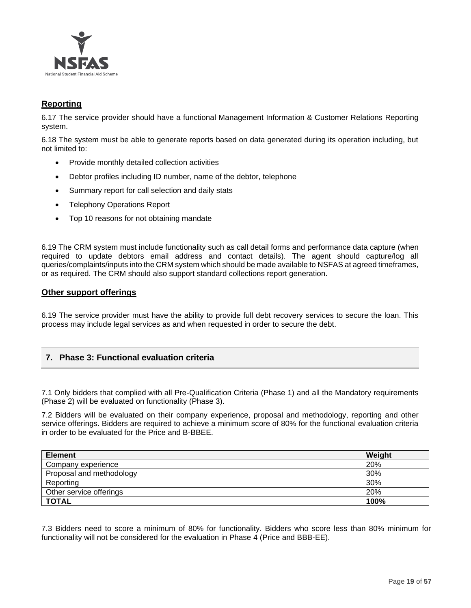

# **Reporting**

6.17 The service provider should have a functional Management Information & Customer Relations Reporting system.

6.18 The system must be able to generate reports based on data generated during its operation including, but not limited to:

- Provide monthly detailed collection activities
- Debtor profiles including ID number, name of the debtor, telephone
- Summary report for call selection and daily stats
- Telephony Operations Report
- Top 10 reasons for not obtaining mandate

6.19 The CRM system must include functionality such as call detail forms and performance data capture (when required to update debtors email address and contact details). The agent should capture/log all queries/complaints/inputs into the CRM system which should be made available to NSFAS at agreed timeframes, or as required. The CRM should also support standard collections report generation.

## **Other support offerings**

6.19 The service provider must have the ability to provide full debt recovery services to secure the loan. This process may include legal services as and when requested in order to secure the debt.

# **7. Phase 3: Functional evaluation criteria**

7.1 Only bidders that complied with all Pre-Qualification Criteria (Phase 1) and all the Mandatory requirements (Phase 2) will be evaluated on functionality (Phase 3).

7.2 Bidders will be evaluated on their company experience, proposal and methodology, reporting and other service offerings. Bidders are required to achieve a minimum score of 80% for the functional evaluation criteria in order to be evaluated for the Price and B-BBEE.

| <b>Element</b>           | Weight |
|--------------------------|--------|
| Company experience       | 20%    |
| Proposal and methodology | 30%    |
| Reporting                | 30%    |
| Other service offerings  | 20%    |
| <b>TOTAL</b>             | 100%   |

7.3 Bidders need to score a minimum of 80% for functionality. Bidders who score less than 80% minimum for functionality will not be considered for the evaluation in Phase 4 (Price and BBB-EE).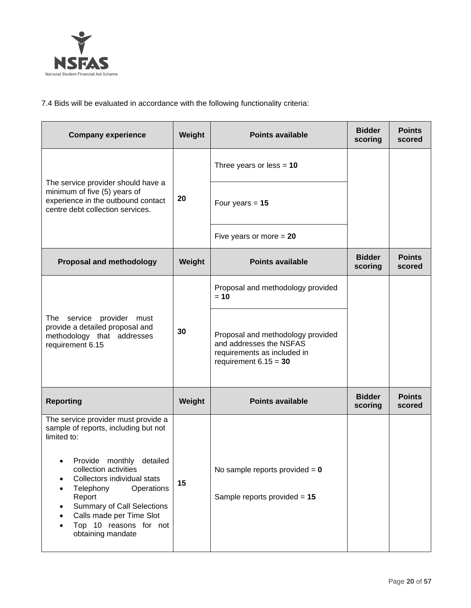

7.4 Bids will be evaluated in accordance with the following functionality criteria:

| <b>Company experience</b>                                                                                                                                                                                                                                                                                                              | Weight | <b>Points available</b>                                                                                                | <b>Bidder</b><br>scoring | <b>Points</b><br>scored |
|----------------------------------------------------------------------------------------------------------------------------------------------------------------------------------------------------------------------------------------------------------------------------------------------------------------------------------------|--------|------------------------------------------------------------------------------------------------------------------------|--------------------------|-------------------------|
|                                                                                                                                                                                                                                                                                                                                        |        | Three years or less = $10$                                                                                             |                          |                         |
| The service provider should have a<br>minimum of five (5) years of<br>experience in the outbound contact<br>centre debt collection services.                                                                                                                                                                                           | 20     | Four years $= 15$                                                                                                      |                          |                         |
|                                                                                                                                                                                                                                                                                                                                        |        | Five years or more $= 20$                                                                                              |                          |                         |
| <b>Proposal and methodology</b>                                                                                                                                                                                                                                                                                                        | Weight | <b>Points available</b>                                                                                                | <b>Bidder</b><br>scoring | <b>Points</b><br>scored |
|                                                                                                                                                                                                                                                                                                                                        |        | Proposal and methodology provided<br>$= 10$                                                                            |                          |                         |
| The service provider must<br>provide a detailed proposal and<br>methodology that addresses<br>requirement 6.15                                                                                                                                                                                                                         | 30     | Proposal and methodology provided<br>and addresses the NSFAS<br>requirements as included in<br>requirement $6.15 = 30$ |                          |                         |
| <b>Reporting</b>                                                                                                                                                                                                                                                                                                                       | Weight | <b>Points available</b>                                                                                                | <b>Bidder</b><br>scoring | <b>Points</b><br>scored |
| The service provider must provide a<br>sample of reports, including but not<br>limited to:<br>Provide monthly<br>detailed<br>collection activities<br>Collectors individual stats<br>Telephony<br>Operations<br>Report<br><b>Summary of Call Selections</b><br>Calls made per Time Slot<br>Top 10 reasons for not<br>obtaining mandate | 15     | No sample reports provided $= 0$<br>Sample reports provided $= 15$                                                     |                          |                         |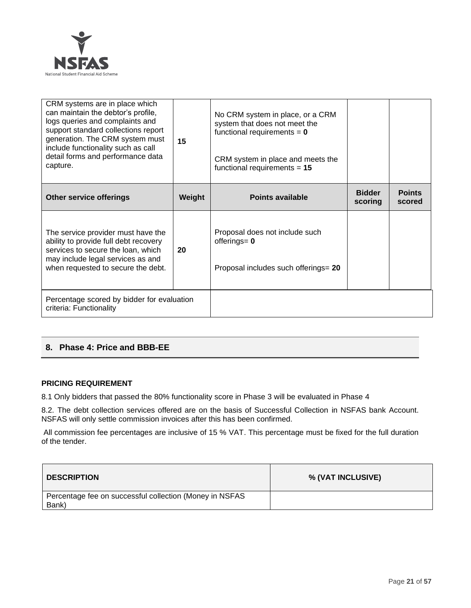

| CRM systems are in place which<br>can maintain the debtor's profile,<br>logs queries and complaints and<br>support standard collections report<br>generation. The CRM system must<br>include functionality such as call<br>detail forms and performance data<br>capture. | 15     | No CRM system in place, or a CRM<br>system that does not meet the<br>functional requirements = $0$<br>CRM system in place and meets the<br>functional requirements = $15$ |                          |                         |
|--------------------------------------------------------------------------------------------------------------------------------------------------------------------------------------------------------------------------------------------------------------------------|--------|---------------------------------------------------------------------------------------------------------------------------------------------------------------------------|--------------------------|-------------------------|
| <b>Other service offerings</b>                                                                                                                                                                                                                                           | Weight | <b>Points available</b>                                                                                                                                                   | <b>Bidder</b><br>scoring | <b>Points</b><br>scored |
| The service provider must have the<br>ability to provide full debt recovery<br>services to secure the loan, which<br>may include legal services as and<br>when requested to secure the debt.                                                                             | 20     | Proposal does not include such<br>offerings= $0$<br>Proposal includes such offerings= 20                                                                                  |                          |                         |
| Percentage scored by bidder for evaluation<br>criteria: Functionality                                                                                                                                                                                                    |        |                                                                                                                                                                           |                          |                         |

# **8. Phase 4: Price and BBB-EE**

## **PRICING REQUIREMENT**

8.1 Only bidders that passed the 80% functionality score in Phase 3 will be evaluated in Phase 4

8.2. The debt collection services offered are on the basis of Successful Collection in NSFAS bank Account. NSFAS will only settle commission invoices after this has been confirmed.

All commission fee percentages are inclusive of 15 % VAT. This percentage must be fixed for the full duration of the tender.

| <b>DESCRIPTION</b>                                               | % (VAT INCLUSIVE) |
|------------------------------------------------------------------|-------------------|
| Percentage fee on successful collection (Money in NSFAS<br>Bank) |                   |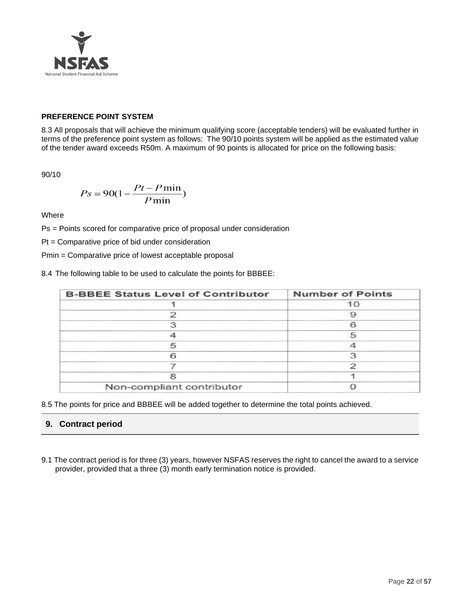

# **PREFERENCE POINT SYSTEM**

8.3 All proposals that will achieve the minimum qualifying score (acceptable tenders) will be evaluated further in terms of the preference point system as follows: The 90/10 points system will be applied as the estimated value of the tender award exceeds R50m. A maximum of 90 points is allocated for price on the following basis:

90/10

$$
Ps = 90(1 - \frac{Pt - P\min}{P\min})
$$

**Where** 

Ps = Points scored for comparative price of proposal under consideration

Pt = Comparative price of bid under consideration

Pmin = Comparative price of lowest acceptable proposal

8.4 The following table to be used to calculate the points for BBBEE:

| <b>B-BBEE Status Level of Contributor</b> | <b>Number of Points</b> |
|-------------------------------------------|-------------------------|
|                                           | 10                      |
|                                           | Q                       |
|                                           |                         |
|                                           |                         |
| 5                                         |                         |
| ട                                         | っ                       |
|                                           |                         |
|                                           |                         |
| Non-compliant contributor                 |                         |

8.5 The points for price and BBBEE will be added together to determine the total points achieved.

# **9. Contract period**

9.1 The contract period is for three (3) years, however NSFAS reserves the right to cancel the award to a service provider, provided that a three (3) month early termination notice is provided.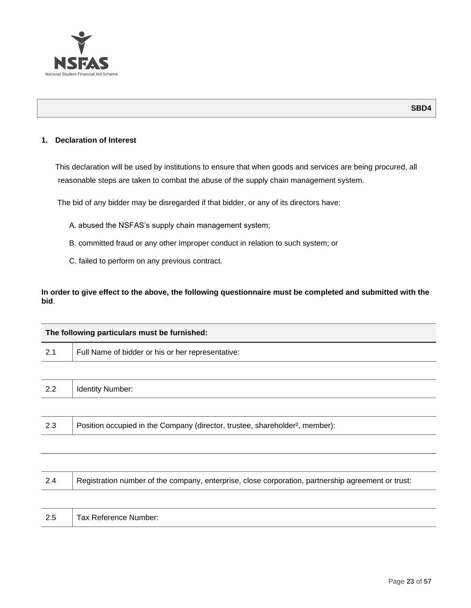

## **1. Declaration of Interest**

This declaration will be used by institutions to ensure that when goods and services are being procured, all reasonable steps are taken to combat the abuse of the supply chain management system.

The bid of any bidder may be disregarded if that bidder, or any of its directors have:

- A. abused the NSFAS's supply chain management system;
- B. committed fraud or any other improper conduct in relation to such system; or
- C. failed to perform on any previous contract.

# **In order to give effect to the above, the following questionnaire must be completed and submitted with the bid**.

| The following particulars must be furnished: |                                                                                          |  |
|----------------------------------------------|------------------------------------------------------------------------------------------|--|
| 2.1                                          | Full Name of bidder or his or her representative:                                        |  |
|                                              |                                                                                          |  |
| 2.2                                          | <b>Identity Number:</b>                                                                  |  |
|                                              |                                                                                          |  |
| 2.3                                          | Position occupied in the Company (director, trustee, shareholder <sup>2</sup> , member): |  |

| 2.4 | Registration number of the company, enterprise, close corporation, partnership agreement or trust: |
|-----|----------------------------------------------------------------------------------------------------|
|     |                                                                                                    |
| 2.5 | Tax Reference Number:                                                                              |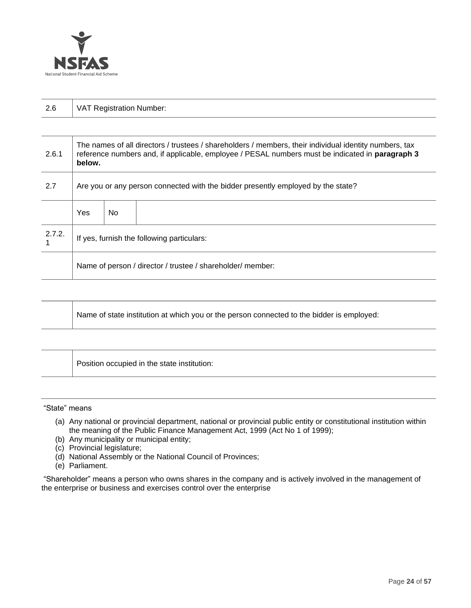

| 2.6   | <b>VAT Registration Number:</b>                                                                                                                                                                                            |
|-------|----------------------------------------------------------------------------------------------------------------------------------------------------------------------------------------------------------------------------|
|       |                                                                                                                                                                                                                            |
| 2.6.1 | The names of all directors / trustees / shareholders / members, their individual identity numbers, tax<br>reference numbers and, if applicable, employee / PESAL numbers must be indicated in <b>paragraph 3</b><br>below. |
| 2.7   | Are you or any person connected with the bidder presently employed by the state?                                                                                                                                           |

|        | Yes                                                        | No. |  |
|--------|------------------------------------------------------------|-----|--|
| 2.7.2. | If yes, furnish the following particulars:                 |     |  |
|        | Name of person / director / trustee / shareholder/ member: |     |  |

| A Name of state institution at which you or the person connected to the bidder is employed: |
|---------------------------------------------------------------------------------------------|
|---------------------------------------------------------------------------------------------|

Position occupied in the state institution:

## "State" means

- (a) Any national or provincial department, national or provincial public entity or constitutional institution within the meaning of the Public Finance Management Act, 1999 (Act No 1 of 1999);
- (b) Any municipality or municipal entity;
- (c) Provincial legislature;
- (d) National Assembly or the National Council of Provinces;
- (e) Parliament.

"Shareholder" means a person who owns shares in the company and is actively involved in the management of the enterprise or business and exercises control over the enterprise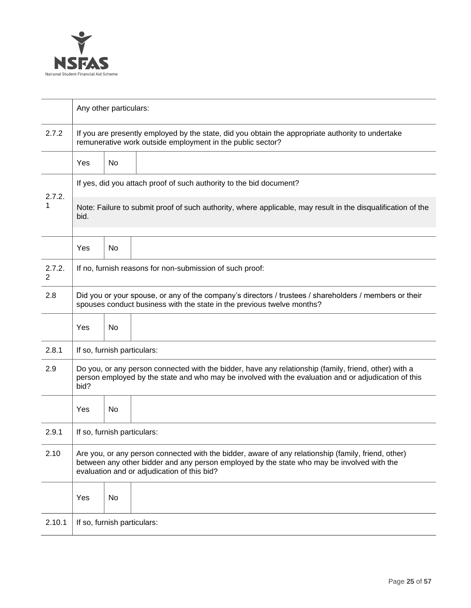

|             |                                                                                                                                                                                                                                                  | Any other particulars: |                                                          |  |  |
|-------------|--------------------------------------------------------------------------------------------------------------------------------------------------------------------------------------------------------------------------------------------------|------------------------|----------------------------------------------------------|--|--|
| 2.7.2       | If you are presently employed by the state, did you obtain the appropriate authority to undertake<br>remunerative work outside employment in the public sector?                                                                                  |                        |                                                          |  |  |
|             | Yes                                                                                                                                                                                                                                              | No                     |                                                          |  |  |
| 2.7.2.      | If yes, did you attach proof of such authority to the bid document?                                                                                                                                                                              |                        |                                                          |  |  |
| 1           | Note: Failure to submit proof of such authority, where applicable, may result in the disqualification of the<br>bid.                                                                                                                             |                        |                                                          |  |  |
|             | Yes                                                                                                                                                                                                                                              | No                     |                                                          |  |  |
| 2.7.2.<br>2 |                                                                                                                                                                                                                                                  |                        | If no, furnish reasons for non-submission of such proof: |  |  |
| 2.8         | Did you or your spouse, or any of the company's directors / trustees / shareholders / members or their<br>spouses conduct business with the state in the previous twelve months?                                                                 |                        |                                                          |  |  |
|             | Yes                                                                                                                                                                                                                                              | <b>No</b>              |                                                          |  |  |
| 2.8.1       | If so, furnish particulars:                                                                                                                                                                                                                      |                        |                                                          |  |  |
| 2.9         | Do you, or any person connected with the bidder, have any relationship (family, friend, other) with a<br>person employed by the state and who may be involved with the evaluation and or adjudication of this<br>bid?                            |                        |                                                          |  |  |
|             | Yes                                                                                                                                                                                                                                              | No                     |                                                          |  |  |
| 2.9.1       | If so, furnish particulars:                                                                                                                                                                                                                      |                        |                                                          |  |  |
| 2.10        | Are you, or any person connected with the bidder, aware of any relationship (family, friend, other)<br>between any other bidder and any person employed by the state who may be involved with the<br>evaluation and or adjudication of this bid? |                        |                                                          |  |  |
|             | Yes                                                                                                                                                                                                                                              | No                     |                                                          |  |  |
| 2.10.1      | If so, furnish particulars:                                                                                                                                                                                                                      |                        |                                                          |  |  |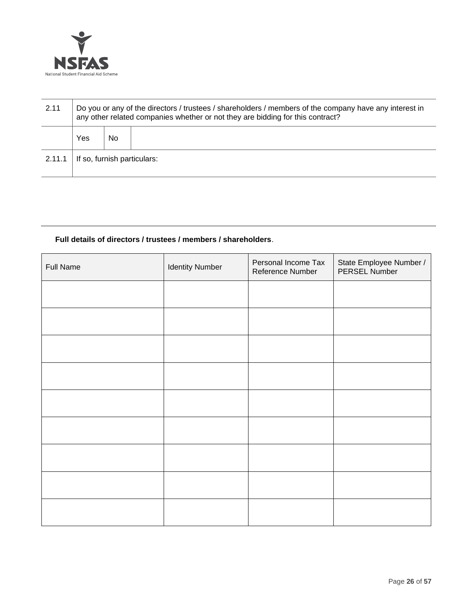

| 2.11   | Do you or any of the directors / trustees / shareholders / members of the company have any interest in<br>any other related companies whether or not they are bidding for this contract? |    |  |
|--------|------------------------------------------------------------------------------------------------------------------------------------------------------------------------------------------|----|--|
|        | Yes                                                                                                                                                                                      | No |  |
| 2.11.1 | If so, furnish particulars:                                                                                                                                                              |    |  |

# **Full details of directors / trustees / members / shareholders**.

| <b>Full Name</b> | <b>Identity Number</b> | Personal Income Tax<br>Reference Number | State Employee Number /<br>PERSEL Number |
|------------------|------------------------|-----------------------------------------|------------------------------------------|
|                  |                        |                                         |                                          |
|                  |                        |                                         |                                          |
|                  |                        |                                         |                                          |
|                  |                        |                                         |                                          |
|                  |                        |                                         |                                          |
|                  |                        |                                         |                                          |
|                  |                        |                                         |                                          |
|                  |                        |                                         |                                          |
|                  |                        |                                         |                                          |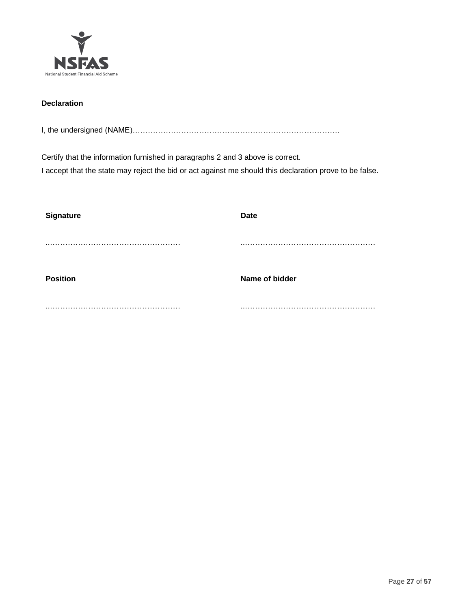

# **Declaration**

I, the undersigned (NAME)………………………………………………………………………

Certify that the information furnished in paragraphs 2 and 3 above is correct. I accept that the state may reject the bid or act against me should this declaration prove to be false.

| <b>Signature</b> | <b>Date</b>    |
|------------------|----------------|
|                  |                |
|                  |                |
|                  |                |
| <b>Position</b>  | Name of bidder |
|                  |                |
|                  |                |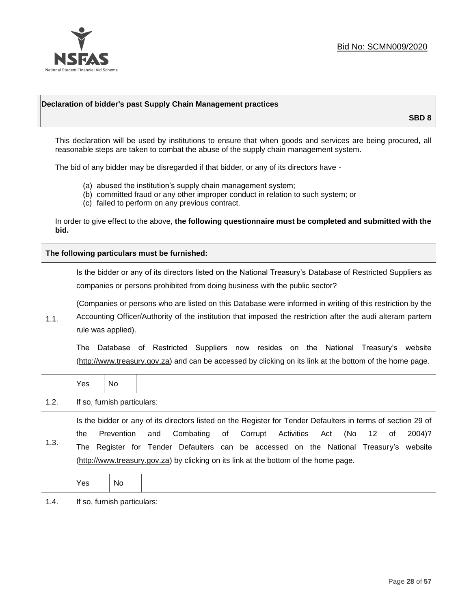

## **Declaration of bidder's past Supply Chain Management practices**

**SBD 8**

This declaration will be used by institutions to ensure that when goods and services are being procured, all reasonable steps are taken to combat the abuse of the supply chain management system.

The bid of any bidder may be disregarded if that bidder, or any of its directors have -

- (a) abused the institution's supply chain management system;
- (b) committed fraud or any other improper conduct in relation to such system; or
- (c) failed to perform on any previous contract.

In order to give effect to the above, **the following questionnaire must be completed and submitted with the bid.**

**The following particulars must be furnished:**

| 1.1. | Is the bidder or any of its directors listed on the National Treasury's Database of Restricted Suppliers as<br>companies or persons prohibited from doing business with the public sector?                                                                                                                                                                                                                   |                             |                                                                                                                                                                                             |  |  |
|------|--------------------------------------------------------------------------------------------------------------------------------------------------------------------------------------------------------------------------------------------------------------------------------------------------------------------------------------------------------------------------------------------------------------|-----------------------------|---------------------------------------------------------------------------------------------------------------------------------------------------------------------------------------------|--|--|
|      | (Companies or persons who are listed on this Database were informed in writing of this restriction by the<br>Accounting Officer/Authority of the institution that imposed the restriction after the audi alteram partem<br>rule was applied).                                                                                                                                                                |                             |                                                                                                                                                                                             |  |  |
|      | The                                                                                                                                                                                                                                                                                                                                                                                                          |                             | Database of Restricted Suppliers now resides on the National Treasury's website<br>(http://www.treasury.gov.za) and can be accessed by clicking on its link at the bottom of the home page. |  |  |
|      | Yes                                                                                                                                                                                                                                                                                                                                                                                                          | <b>No</b>                   |                                                                                                                                                                                             |  |  |
| 1.2. |                                                                                                                                                                                                                                                                                                                                                                                                              | If so, furnish particulars: |                                                                                                                                                                                             |  |  |
| 1.3. | Is the bidder or any of its directors listed on the Register for Tender Defaulters in terms of section 29 of<br>Prevention<br>Combating<br>(No<br>of<br>Corrupt<br>Activities<br>12<br>2004)?<br>the<br>and<br>Act<br>οf<br>Register for Tender Defaulters can be accessed on the National Treasury's website<br>The<br>(http://www.treasury.gov.za) by clicking on its link at the bottom of the home page. |                             |                                                                                                                                                                                             |  |  |
|      | Yes                                                                                                                                                                                                                                                                                                                                                                                                          | No.                         |                                                                                                                                                                                             |  |  |
| 1.4. |                                                                                                                                                                                                                                                                                                                                                                                                              | If so, furnish particulars: |                                                                                                                                                                                             |  |  |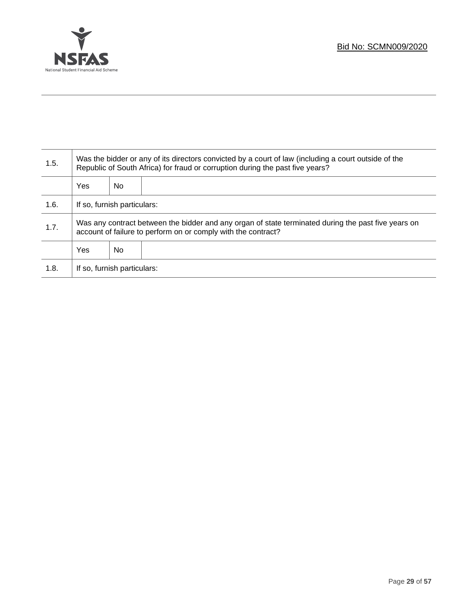

Τ

| 1.5. | Was the bidder or any of its directors convicted by a court of law (including a court outside of the<br>Republic of South Africa) for fraud or corruption during the past five years? |     |  |
|------|---------------------------------------------------------------------------------------------------------------------------------------------------------------------------------------|-----|--|
|      | Yes                                                                                                                                                                                   | No. |  |
| 1.6. | If so, furnish particulars:                                                                                                                                                           |     |  |
| 1.7. | Was any contract between the bidder and any organ of state terminated during the past five years on<br>account of failure to perform on or comply with the contract?                  |     |  |
|      | Yes                                                                                                                                                                                   | No. |  |
| 1.8. | If so, furnish particulars:                                                                                                                                                           |     |  |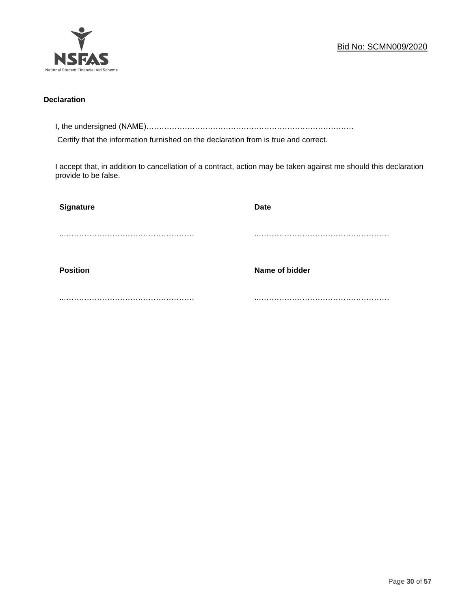

## **Declaration**

I, the undersigned (NAME)………………………………………………………………………

Certify that the information furnished on the declaration from is true and correct.

I accept that, in addition to cancellation of a contract, action may be taken against me should this declaration provide to be false.

| <b>Signature</b> | <b>Date</b>    |
|------------------|----------------|
|                  |                |
|                  |                |
| <b>Position</b>  | Name of bidder |
|                  |                |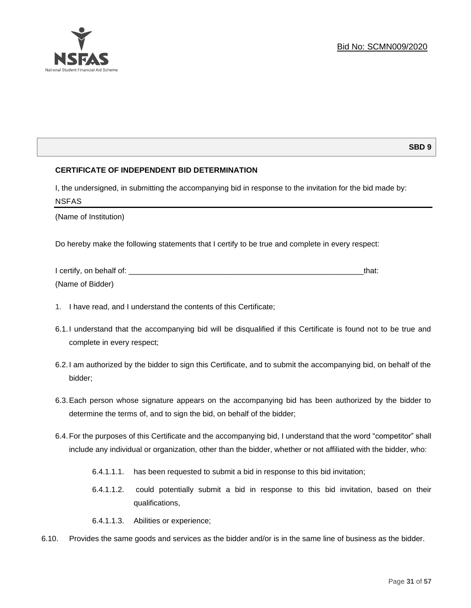

# **SBD 9**

# **CERTIFICATE OF INDEPENDENT BID DETERMINATION**

I, the undersigned, in submitting the accompanying bid in response to the invitation for the bid made by: NSFAS

(Name of Institution)

Do hereby make the following statements that I certify to be true and complete in every respect:

| I certify, on behalf of: |  |
|--------------------------|--|
| (Name of Bidder)         |  |

- 1. I have read, and I understand the contents of this Certificate;
- 6.1.I understand that the accompanying bid will be disqualified if this Certificate is found not to be true and complete in every respect;
- 6.2.I am authorized by the bidder to sign this Certificate, and to submit the accompanying bid, on behalf of the bidder;
- 6.3.Each person whose signature appears on the accompanying bid has been authorized by the bidder to determine the terms of, and to sign the bid, on behalf of the bidder;
- 6.4.For the purposes of this Certificate and the accompanying bid, I understand that the word "competitor" shall include any individual or organization, other than the bidder, whether or not affiliated with the bidder, who:
	- 6.4.1.1.1. has been requested to submit a bid in response to this bid invitation;
	- 6.4.1.1.2. could potentially submit a bid in response to this bid invitation, based on their qualifications,
	- 6.4.1.1.3. Abilities or experience;
- 6.10. Provides the same goods and services as the bidder and/or is in the same line of business as the bidder.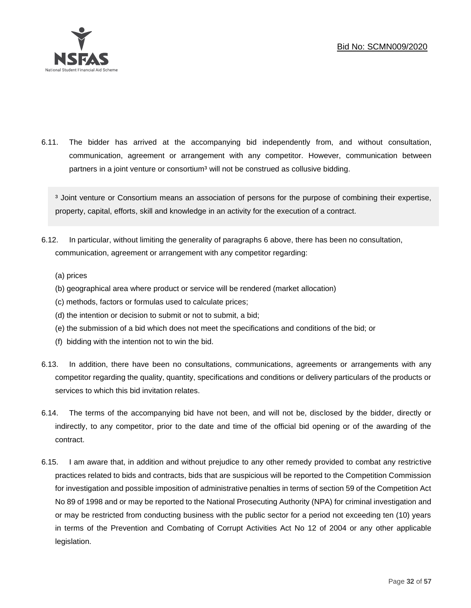

6.11. The bidder has arrived at the accompanying bid independently from, and without consultation, communication, agreement or arrangement with any competitor. However, communication between partners in a joint venture or consortium<sup>3</sup> will not be construed as collusive bidding.

<sup>3</sup> Joint venture or Consortium means an association of persons for the purpose of combining their expertise, property, capital, efforts, skill and knowledge in an activity for the execution of a contract.

- 6.12. In particular, without limiting the generality of paragraphs 6 above, there has been no consultation, communication, agreement or arrangement with any competitor regarding:
	- (a) prices
	- (b) geographical area where product or service will be rendered (market allocation)
	- (c) methods, factors or formulas used to calculate prices;
	- (d) the intention or decision to submit or not to submit, a bid;
	- (e) the submission of a bid which does not meet the specifications and conditions of the bid; or
	- (f) bidding with the intention not to win the bid.
- 6.13. In addition, there have been no consultations, communications, agreements or arrangements with any competitor regarding the quality, quantity, specifications and conditions or delivery particulars of the products or services to which this bid invitation relates.
- 6.14. The terms of the accompanying bid have not been, and will not be, disclosed by the bidder, directly or indirectly, to any competitor, prior to the date and time of the official bid opening or of the awarding of the contract.
- 6.15. I am aware that, in addition and without prejudice to any other remedy provided to combat any restrictive practices related to bids and contracts, bids that are suspicious will be reported to the Competition Commission for investigation and possible imposition of administrative penalties in terms of section 59 of the Competition Act No 89 of 1998 and or may be reported to the National Prosecuting Authority (NPA) for criminal investigation and or may be restricted from conducting business with the public sector for a period not exceeding ten (10) years in terms of the Prevention and Combating of Corrupt Activities Act No 12 of 2004 or any other applicable legislation.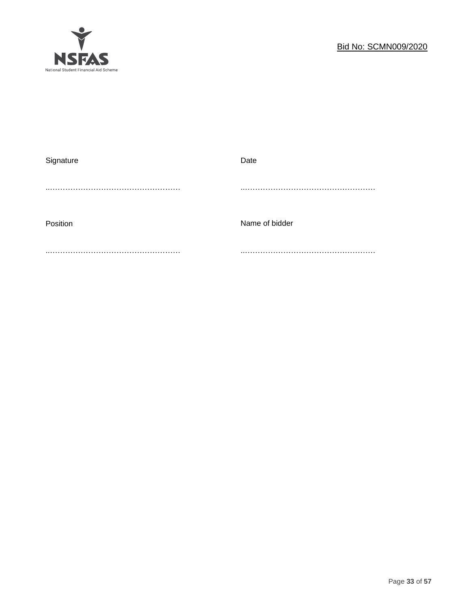

| Signature | Date           |
|-----------|----------------|
|           |                |
|           |                |
|           |                |
| Position  | Name of bidder |
|           |                |
|           |                |
|           |                |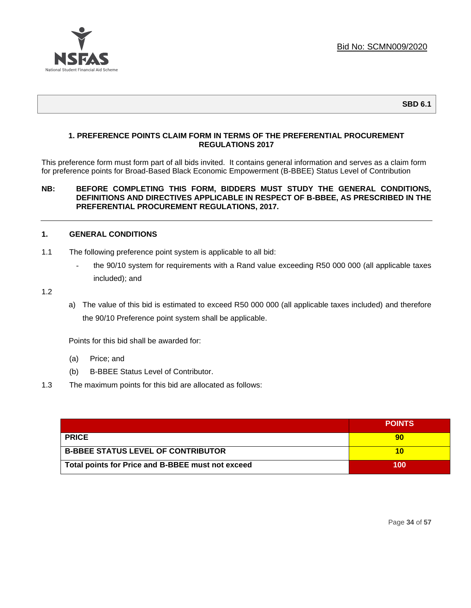

## **1. PREFERENCE POINTS CLAIM FORM IN TERMS OF THE PREFERENTIAL PROCUREMENT REGULATIONS 2017**

This preference form must form part of all bids invited. It contains general information and serves as a claim form for preference points for Broad-Based Black Economic Empowerment (B-BBEE) Status Level of Contribution

## **NB: BEFORE COMPLETING THIS FORM, BIDDERS MUST STUDY THE GENERAL CONDITIONS, DEFINITIONS AND DIRECTIVES APPLICABLE IN RESPECT OF B-BBEE, AS PRESCRIBED IN THE PREFERENTIAL PROCUREMENT REGULATIONS, 2017.**

## **1. GENERAL CONDITIONS**

- 1.1 The following preference point system is applicable to all bid:
	- the 90/10 system for requirements with a Rand value exceeding R50 000 000 (all applicable taxes included); and

1.2

a) The value of this bid is estimated to exceed R50 000 000 (all applicable taxes included) and therefore the 90/10 Preference point system shall be applicable.

Points for this bid shall be awarded for:

- (a) Price; and
- (b) B-BBEE Status Level of Contributor.
- 1.3 The maximum points for this bid are allocated as follows:

|                                                   | <b>POINTS</b> |
|---------------------------------------------------|---------------|
| <b>PRICE</b>                                      |               |
| <b>B-BBEE STATUS LEVEL OF CONTRIBUTOR</b>         |               |
| Total points for Price and B-BBEE must not exceed | 100           |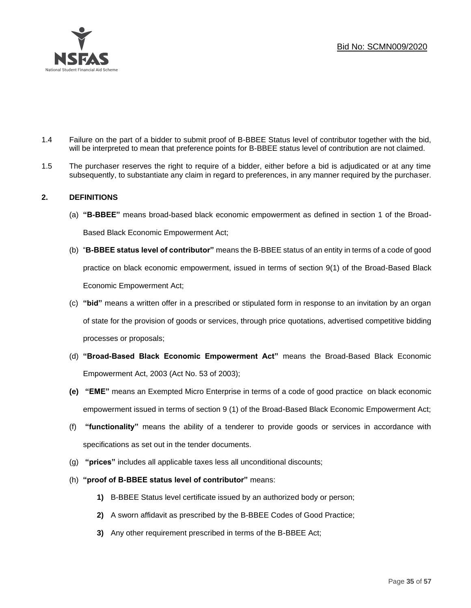

- 1.4 Failure on the part of a bidder to submit proof of B-BBEE Status level of contributor together with the bid, will be interpreted to mean that preference points for B-BBEE status level of contribution are not claimed.
- 1.5 The purchaser reserves the right to require of a bidder, either before a bid is adjudicated or at any time subsequently, to substantiate any claim in regard to preferences, in any manner required by the purchaser.

# **2. DEFINITIONS**

- (a) **"B-BBEE"** means broad-based black economic empowerment as defined in section 1 of the Broad-Based Black Economic Empowerment Act;
- (b) "**B-BBEE status level of contributor"** means the B-BBEE status of an entity in terms of a code of good practice on black economic empowerment, issued in terms of section 9(1) of the Broad-Based Black Economic Empowerment Act;
- (c) **"bid"** means a written offer in a prescribed or stipulated form in response to an invitation by an organ of state for the provision of goods or services, through price quotations, advertised competitive bidding processes or proposals;
- (d) **"Broad-Based Black Economic Empowerment Act"** means the Broad-Based Black Economic Empowerment Act, 2003 (Act No. 53 of 2003);
- **(e) "EME"** means an Exempted Micro Enterprise in terms of a code of good practice on black economic empowerment issued in terms of section 9 (1) of the Broad-Based Black Economic Empowerment Act;
- (f) **"functionality"** means the ability of a tenderer to provide goods or services in accordance with specifications as set out in the tender documents.
- (g) **"prices"** includes all applicable taxes less all unconditional discounts;
- (h) **"proof of B-BBEE status level of contributor"** means:
	- **1)** B-BBEE Status level certificate issued by an authorized body or person;
	- **2)** A sworn affidavit as prescribed by the B-BBEE Codes of Good Practice;
	- **3)** Any other requirement prescribed in terms of the B-BBEE Act;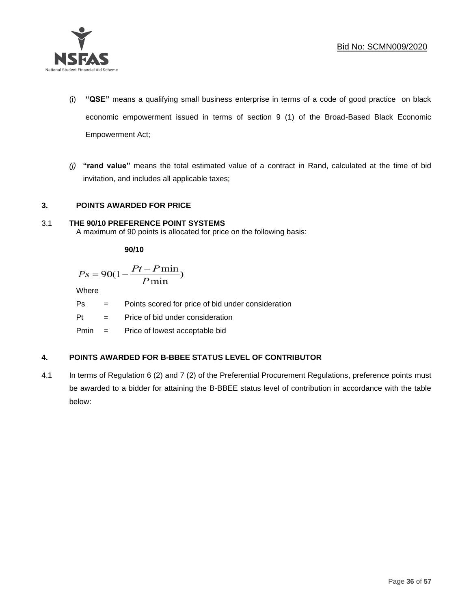

- (i) **"QSE"** means a qualifying small business enterprise in terms of a code of good practice on black economic empowerment issued in terms of section 9 (1) of the Broad-Based Black Economic Empowerment Act;
- *(j)* **"rand value"** means the total estimated value of a contract in Rand, calculated at the time of bid invitation, and includes all applicable taxes;

# **3. POINTS AWARDED FOR PRICE**

## 3.1 **THE 90/10 PREFERENCE POINT SYSTEMS**

A maximum of 90 points is allocated for price on the following basis:

**90/10**

$$
Ps = 90(1 - \frac{Pt - P\min}{P\min})
$$

Where

Ps = Points scored for price of bid under consideration

Pt = Price of bid under consideration

Pmin = Price of lowest acceptable bid

# **4. POINTS AWARDED FOR B-BBEE STATUS LEVEL OF CONTRIBUTOR**

4.1 In terms of Regulation 6 (2) and 7 (2) of the Preferential Procurement Regulations, preference points must be awarded to a bidder for attaining the B-BBEE status level of contribution in accordance with the table below: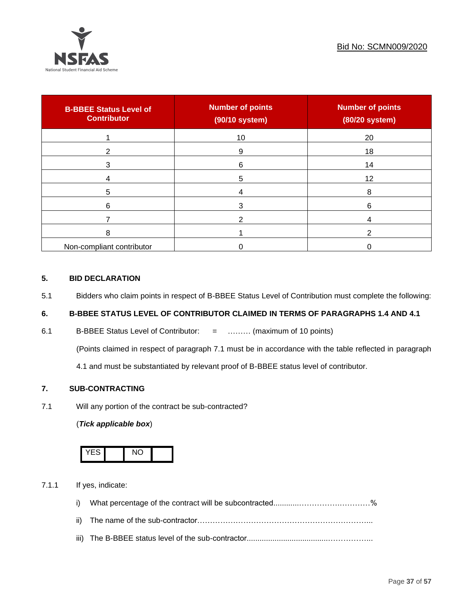

| <b>B-BBEE Status Level of</b><br><b>Contributor</b> | <b>Number of points</b><br>(90/10 system) | <b>Number of points</b><br>(80/20 system) |
|-----------------------------------------------------|-------------------------------------------|-------------------------------------------|
|                                                     | 10                                        | 20                                        |
| ົ                                                   | 9                                         | 18                                        |
| 3                                                   | 6                                         | 14                                        |
|                                                     | 5                                         | 12                                        |
| 5                                                   |                                           | 8                                         |
| 6                                                   |                                           | 6                                         |
|                                                     |                                           |                                           |
| 8                                                   |                                           |                                           |
| Non-compliant contributor                           |                                           |                                           |

# **5. BID DECLARATION**

5.1 Bidders who claim points in respect of B-BBEE Status Level of Contribution must complete the following:

# **6. B-BBEE STATUS LEVEL OF CONTRIBUTOR CLAIMED IN TERMS OF PARAGRAPHS 1.4 AND 4.1**

6.1 B-BBEE Status Level of Contributor: = ……… (maximum of 10 points)

(Points claimed in respect of paragraph 7.1 must be in accordance with the table reflected in paragraph

4.1 and must be substantiated by relevant proof of B-BBEE status level of contributor.

# **7. SUB-CONTRACTING**

7.1 Will any portion of the contract be sub-contracted?

# (*Tick applicable box*)



7.1.1 If yes, indicate:

- i) What percentage of the contract will be subcontracted............…………….…………%
- ii) The name of the sub-contractor…………………………………………………………...
- iii) The B-BBEE status level of the sub-contractor......................................……………...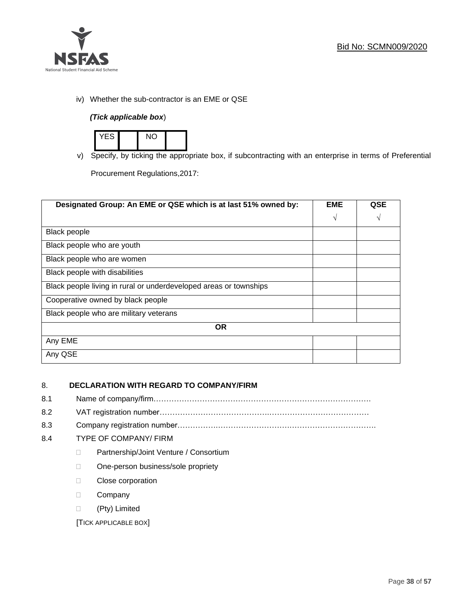

iv) Whether the sub-contractor is an EME or QSE

# *(Tick applicable box*)



v) Specify, by ticking the appropriate box, if subcontracting with an enterprise in terms of Preferential

Procurement Regulations,2017:

| Designated Group: An EME or QSE which is at last 51% owned by:    | <b>EME</b> | QSE |
|-------------------------------------------------------------------|------------|-----|
|                                                                   | V          | N   |
| <b>Black people</b>                                               |            |     |
| Black people who are youth                                        |            |     |
| Black people who are women                                        |            |     |
| Black people with disabilities                                    |            |     |
| Black people living in rural or underdeveloped areas or townships |            |     |
| Cooperative owned by black people                                 |            |     |
| Black people who are military veterans                            |            |     |
| <b>OR</b>                                                         |            |     |
| Any EME                                                           |            |     |
| Any QSE                                                           |            |     |

# 8. **DECLARATION WITH REGARD TO COMPANY/FIRM**

- 8.1 Name of company/firm………………………………………………………………………….
- 8.2 VAT registration number…………………………………….…………………………………
- 8.3 Company registration number…………….……………………….…………………………….

# 8.4 TYPE OF COMPANY/ FIRM

- D Partnership/Joint Venture / Consortium
- □ One-person business/sole propriety
- D Close corporation
- D Company
- (Pty) Limited

[TICK APPLICABLE BOX]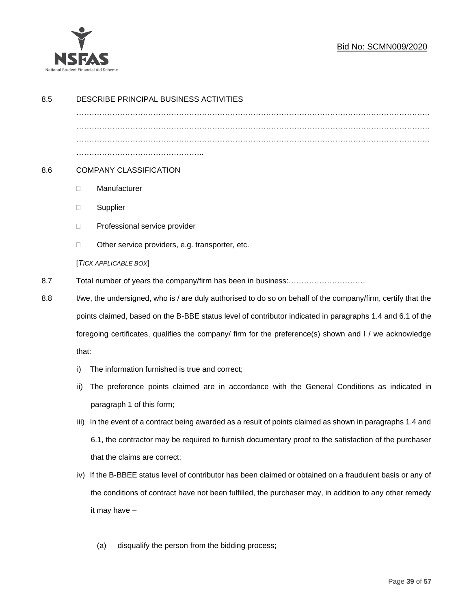

# Bid No: SCMN009/2020

|                                                                                                        | DESCRIBE PRINCIPAL BUSINESS ACTIVITIES                                                                       |  |  |
|--------------------------------------------------------------------------------------------------------|--------------------------------------------------------------------------------------------------------------|--|--|
|                                                                                                        |                                                                                                              |  |  |
|                                                                                                        |                                                                                                              |  |  |
|                                                                                                        |                                                                                                              |  |  |
|                                                                                                        | <b>COMPANY CLASSIFICATION</b>                                                                                |  |  |
| O.                                                                                                     | Manufacturer                                                                                                 |  |  |
| $\Box$                                                                                                 | Supplier                                                                                                     |  |  |
| Ц                                                                                                      | Professional service provider                                                                                |  |  |
| □                                                                                                      | Other service providers, e.g. transporter, etc.                                                              |  |  |
|                                                                                                        | [TICK APPLICABLE BOX]                                                                                        |  |  |
|                                                                                                        |                                                                                                              |  |  |
|                                                                                                        | I/we, the undersigned, who is / are duly authorised to do so on behalf of the company/firm, certify that the |  |  |
|                                                                                                        | points claimed, based on the B-BBE status level of contributor indicated in paragraphs 1.4 and 6.1 of the    |  |  |
| foregoing certificates, qualifies the company/ firm for the preference(s) shown and I / we acknowledge |                                                                                                              |  |  |
| that:                                                                                                  |                                                                                                              |  |  |
| i)                                                                                                     | The information furnished is true and correct;                                                               |  |  |
| ii)                                                                                                    | The preference points claimed are in accordance with the General Conditions as indicated in                  |  |  |
|                                                                                                        | paragraph 1 of this form;                                                                                    |  |  |
| iii)                                                                                                   | In the event of a contract being awarded as a result of points claimed as shown in paragraphs 1.4 and        |  |  |
|                                                                                                        | 6.1, the contractor may be required to furnish documentary proof to the satisfaction of the purchaser        |  |  |
|                                                                                                        | that the claims are correct;                                                                                 |  |  |
| iv)                                                                                                    | If the B-BBEE status level of contributor has been claimed or obtained on a fraudulent basis or any of       |  |  |
|                                                                                                        | the conditions of contract have not been fulfilled, the purchaser may, in addition to any other remedy       |  |  |
|                                                                                                        | it may have -                                                                                                |  |  |
|                                                                                                        |                                                                                                              |  |  |

(a) disqualify the person from the bidding process;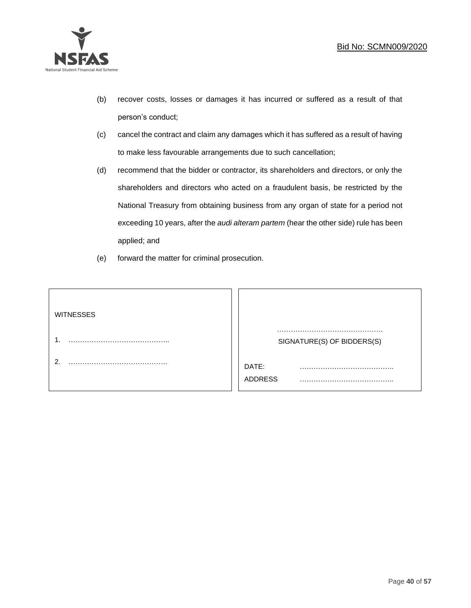

- (b) recover costs, losses or damages it has incurred or suffered as a result of that person's conduct;
- (c) cancel the contract and claim any damages which it has suffered as a result of having to make less favourable arrangements due to such cancellation;
- (d) recommend that the bidder or contractor, its shareholders and directors, or only the shareholders and directors who acted on a fraudulent basis, be restricted by the National Treasury from obtaining business from any organ of state for a period not exceeding 10 years, after the *audi alteram partem* (hear the other side) rule has been applied; and
- (e) forward the matter for criminal prosecution.

| <b>WITNESSES</b> |                            |
|------------------|----------------------------|
|                  | SIGNATURE(S) OF BIDDERS(S) |
|                  | DATE:<br>.<br>ADDRESS      |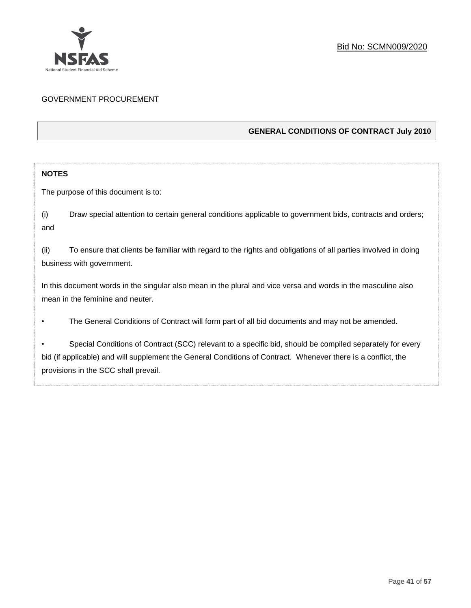

# GOVERNMENT PROCUREMENT

# **GENERAL CONDITIONS OF CONTRACT July 2010**

# **NOTES**

The purpose of this document is to:

(i) Draw special attention to certain general conditions applicable to government bids, contracts and orders; and

(ii) To ensure that clients be familiar with regard to the rights and obligations of all parties involved in doing business with government.

In this document words in the singular also mean in the plural and vice versa and words in the masculine also mean in the feminine and neuter.

• The General Conditions of Contract will form part of all bid documents and may not be amended.

Special Conditions of Contract (SCC) relevant to a specific bid, should be compiled separately for every bid (if applicable) and will supplement the General Conditions of Contract. Whenever there is a conflict, the provisions in the SCC shall prevail.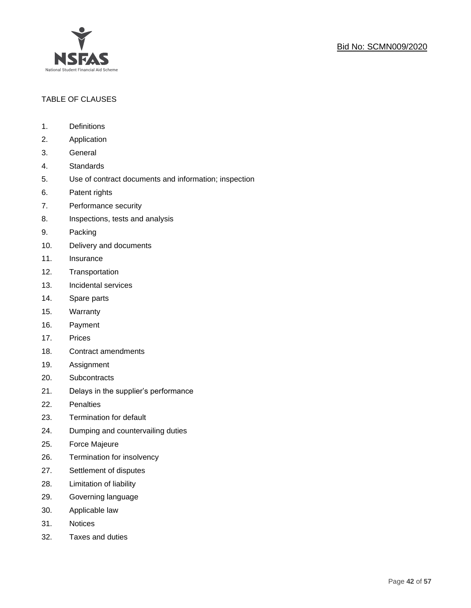

# TABLE OF CLAUSES

- 1. Definitions
- 2. Application
- 3. General
- 4. Standards
- 5. Use of contract documents and information; inspection
- 6. Patent rights
- 7. Performance security
- 8. Inspections, tests and analysis
- 9. Packing
- 10. Delivery and documents
- 11. Insurance
- 12. Transportation
- 13. Incidental services
- 14. Spare parts
- 15. Warranty
- 16. Payment
- 17. Prices
- 18. Contract amendments
- 19. Assignment
- 20. Subcontracts
- 21. Delays in the supplier's performance
- 22. Penalties
- 23. Termination for default
- 24. Dumping and countervailing duties
- 25. Force Majeure
- 26. Termination for insolvency
- 27. Settlement of disputes
- 28. Limitation of liability
- 29. Governing language
- 30. Applicable law
- 31. Notices
- 32. Taxes and duties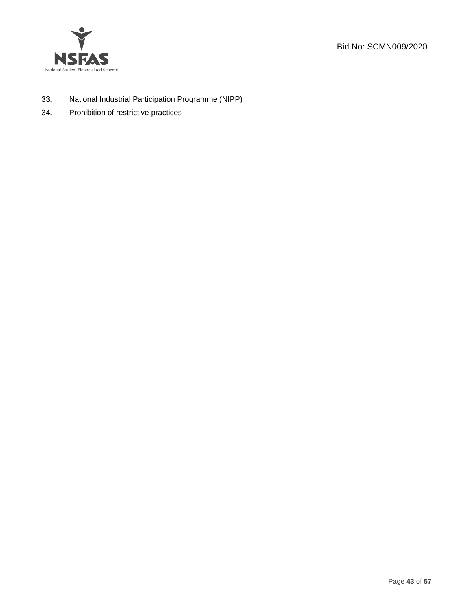



- 33. National Industrial Participation Programme (NIPP)
- 34. Prohibition of restrictive practices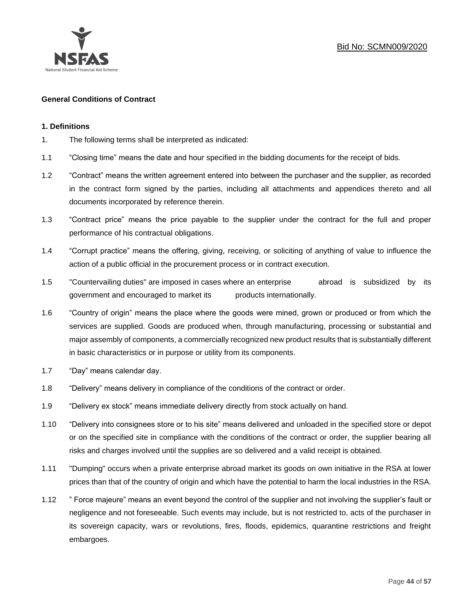

# **General Conditions of Contract**

## **1. Definitions**

- 1. The following terms shall be interpreted as indicated:
- 1.1 "Closing time" means the date and hour specified in the bidding documents for the receipt of bids.
- 1.2 "Contract" means the written agreement entered into between the purchaser and the supplier, as recorded in the contract form signed by the parties, including all attachments and appendices thereto and all documents incorporated by reference therein.
- 1.3 "Contract price" means the price payable to the supplier under the contract for the full and proper performance of his contractual obligations.
- 1.4 "Corrupt practice" means the offering, giving, receiving, or soliciting of anything of value to influence the action of a public official in the procurement process or in contract execution.
- 1.5 "Countervailing duties" are imposed in cases where an enterprise abroad is subsidized by its government and encouraged to market its products internationally.
- 1.6 "Country of origin" means the place where the goods were mined, grown or produced or from which the services are supplied. Goods are produced when, through manufacturing, processing or substantial and major assembly of components, a commercially recognized new product results that is substantially different in basic characteristics or in purpose or utility from its components.
- 1.7 "Day" means calendar day.
- 1.8 "Delivery" means delivery in compliance of the conditions of the contract or order.
- 1.9 "Delivery ex stock" means immediate delivery directly from stock actually on hand.
- 1.10 "Delivery into consignees store or to his site" means delivered and unloaded in the specified store or depot or on the specified site in compliance with the conditions of the contract or order, the supplier bearing all risks and charges involved until the supplies are so delivered and a valid receipt is obtained.
- 1.11 "Dumping" occurs when a private enterprise abroad market its goods on own initiative in the RSA at lower prices than that of the country of origin and which have the potential to harm the local industries in the RSA.
- 1.12 " Force majeure" means an event beyond the control of the supplier and not involving the supplier's fault or negligence and not foreseeable. Such events may include, but is not restricted to, acts of the purchaser in its sovereign capacity, wars or revolutions, fires, floods, epidemics, quarantine restrictions and freight embargoes.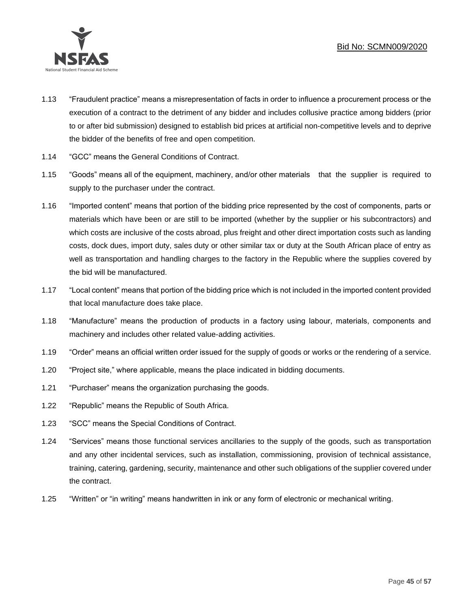

- 1.13 "Fraudulent practice" means a misrepresentation of facts in order to influence a procurement process or the execution of a contract to the detriment of any bidder and includes collusive practice among bidders (prior to or after bid submission) designed to establish bid prices at artificial non-competitive levels and to deprive the bidder of the benefits of free and open competition.
- 1.14 "GCC" means the General Conditions of Contract.
- 1.15 "Goods" means all of the equipment, machinery, and/or other materials that the supplier is required to supply to the purchaser under the contract.
- 1.16 "Imported content" means that portion of the bidding price represented by the cost of components, parts or materials which have been or are still to be imported (whether by the supplier or his subcontractors) and which costs are inclusive of the costs abroad, plus freight and other direct importation costs such as landing costs, dock dues, import duty, sales duty or other similar tax or duty at the South African place of entry as well as transportation and handling charges to the factory in the Republic where the supplies covered by the bid will be manufactured.
- 1.17 "Local content" means that portion of the bidding price which is not included in the imported content provided that local manufacture does take place.
- 1.18 "Manufacture" means the production of products in a factory using labour, materials, components and machinery and includes other related value-adding activities.
- 1.19 "Order" means an official written order issued for the supply of goods or works or the rendering of a service.
- 1.20 "Project site," where applicable, means the place indicated in bidding documents.
- 1.21 "Purchaser" means the organization purchasing the goods.
- 1.22 "Republic" means the Republic of South Africa.
- 1.23 "SCC" means the Special Conditions of Contract.
- 1.24 "Services" means those functional services ancillaries to the supply of the goods, such as transportation and any other incidental services, such as installation, commissioning, provision of technical assistance, training, catering, gardening, security, maintenance and other such obligations of the supplier covered under the contract.
- 1.25 "Written" or "in writing" means handwritten in ink or any form of electronic or mechanical writing.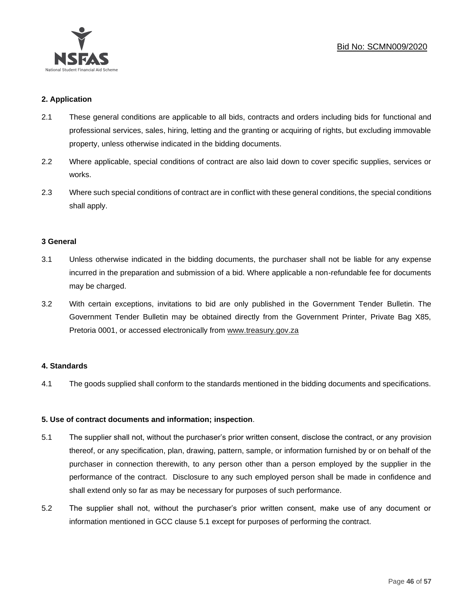

## **2. Application**

- 2.1 These general conditions are applicable to all bids, contracts and orders including bids for functional and professional services, sales, hiring, letting and the granting or acquiring of rights, but excluding immovable property, unless otherwise indicated in the bidding documents.
- 2.2 Where applicable, special conditions of contract are also laid down to cover specific supplies, services or works.
- 2.3 Where such special conditions of contract are in conflict with these general conditions, the special conditions shall apply.

## **3 General**

- 3.1 Unless otherwise indicated in the bidding documents, the purchaser shall not be liable for any expense incurred in the preparation and submission of a bid. Where applicable a non-refundable fee for documents may be charged.
- 3.2 With certain exceptions, invitations to bid are only published in the Government Tender Bulletin. The Government Tender Bulletin may be obtained directly from the Government Printer, Private Bag X85, Pretoria 0001, or accessed electronically from [www.treasury.gov.za](http://www.treasury.gov.za/)

## **4. Standards**

4.1 The goods supplied shall conform to the standards mentioned in the bidding documents and specifications.

# **5. Use of contract documents and information; inspection**.

- 5.1 The supplier shall not, without the purchaser's prior written consent, disclose the contract, or any provision thereof, or any specification, plan, drawing, pattern, sample, or information furnished by or on behalf of the purchaser in connection therewith, to any person other than a person employed by the supplier in the performance of the contract. Disclosure to any such employed person shall be made in confidence and shall extend only so far as may be necessary for purposes of such performance.
- 5.2 The supplier shall not, without the purchaser's prior written consent, make use of any document or information mentioned in GCC clause 5.1 except for purposes of performing the contract.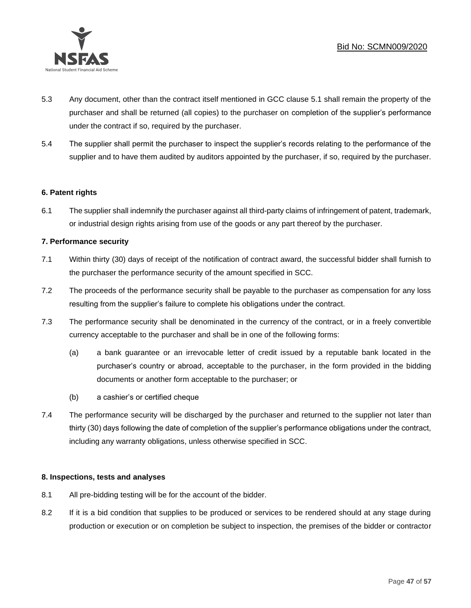

- 5.3 Any document, other than the contract itself mentioned in GCC clause 5.1 shall remain the property of the purchaser and shall be returned (all copies) to the purchaser on completion of the supplier's performance under the contract if so, required by the purchaser.
- 5.4 The supplier shall permit the purchaser to inspect the supplier's records relating to the performance of the supplier and to have them audited by auditors appointed by the purchaser, if so, required by the purchaser.

# **6. Patent rights**

6.1 The supplier shall indemnify the purchaser against all third-party claims of infringement of patent, trademark, or industrial design rights arising from use of the goods or any part thereof by the purchaser.

# **7. Performance security**

- 7.1 Within thirty (30) days of receipt of the notification of contract award, the successful bidder shall furnish to the purchaser the performance security of the amount specified in SCC.
- 7.2 The proceeds of the performance security shall be payable to the purchaser as compensation for any loss resulting from the supplier's failure to complete his obligations under the contract.
- 7.3 The performance security shall be denominated in the currency of the contract, or in a freely convertible currency acceptable to the purchaser and shall be in one of the following forms:
	- (a) a bank guarantee or an irrevocable letter of credit issued by a reputable bank located in the purchaser's country or abroad, acceptable to the purchaser, in the form provided in the bidding documents or another form acceptable to the purchaser; or
	- (b) a cashier's or certified cheque
- 7.4 The performance security will be discharged by the purchaser and returned to the supplier not later than thirty (30) days following the date of completion of the supplier's performance obligations under the contract, including any warranty obligations, unless otherwise specified in SCC.

# **8. Inspections, tests and analyses**

- 8.1 All pre-bidding testing will be for the account of the bidder.
- 8.2 If it is a bid condition that supplies to be produced or services to be rendered should at any stage during production or execution or on completion be subject to inspection, the premises of the bidder or contractor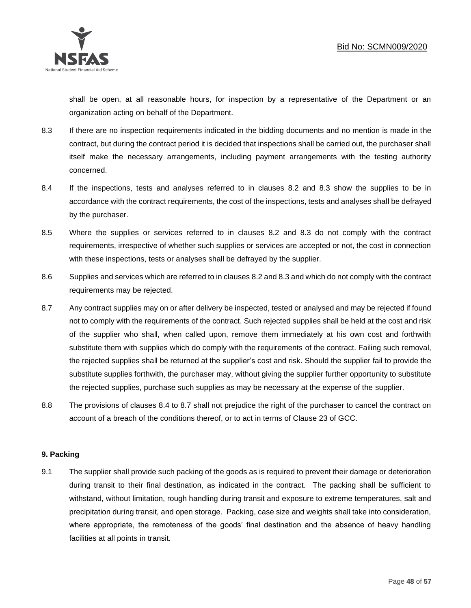

shall be open, at all reasonable hours, for inspection by a representative of the Department or an organization acting on behalf of the Department.

- 8.3 If there are no inspection requirements indicated in the bidding documents and no mention is made in the contract, but during the contract period it is decided that inspections shall be carried out, the purchaser shall itself make the necessary arrangements, including payment arrangements with the testing authority concerned.
- 8.4 If the inspections, tests and analyses referred to in clauses 8.2 and 8.3 show the supplies to be in accordance with the contract requirements, the cost of the inspections, tests and analyses shall be defrayed by the purchaser.
- 8.5 Where the supplies or services referred to in clauses 8.2 and 8.3 do not comply with the contract requirements, irrespective of whether such supplies or services are accepted or not, the cost in connection with these inspections, tests or analyses shall be defrayed by the supplier.
- 8.6 Supplies and services which are referred to in clauses 8.2 and 8.3 and which do not comply with the contract requirements may be rejected.
- 8.7 Any contract supplies may on or after delivery be inspected, tested or analysed and may be rejected if found not to comply with the requirements of the contract. Such rejected supplies shall be held at the cost and risk of the supplier who shall, when called upon, remove them immediately at his own cost and forthwith substitute them with supplies which do comply with the requirements of the contract. Failing such removal, the rejected supplies shall be returned at the supplier's cost and risk. Should the supplier fail to provide the substitute supplies forthwith, the purchaser may, without giving the supplier further opportunity to substitute the rejected supplies, purchase such supplies as may be necessary at the expense of the supplier.
- 8.8 The provisions of clauses 8.4 to 8.7 shall not prejudice the right of the purchaser to cancel the contract on account of a breach of the conditions thereof, or to act in terms of Clause 23 of GCC.

# **9. Packing**

9.1 The supplier shall provide such packing of the goods as is required to prevent their damage or deterioration during transit to their final destination, as indicated in the contract. The packing shall be sufficient to withstand, without limitation, rough handling during transit and exposure to extreme temperatures, salt and precipitation during transit, and open storage. Packing, case size and weights shall take into consideration, where appropriate, the remoteness of the goods' final destination and the absence of heavy handling facilities at all points in transit.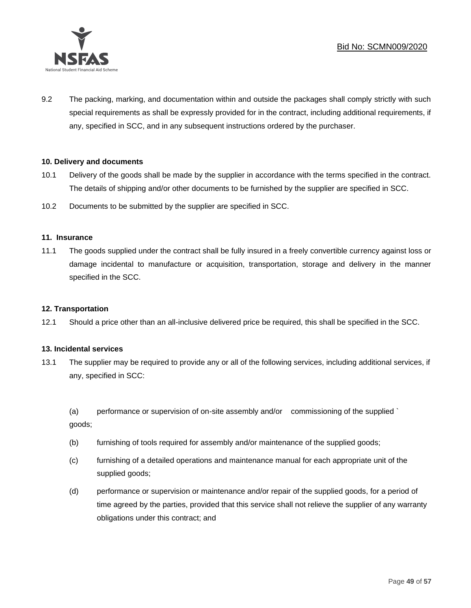

9.2 The packing, marking, and documentation within and outside the packages shall comply strictly with such special requirements as shall be expressly provided for in the contract, including additional requirements, if any, specified in SCC, and in any subsequent instructions ordered by the purchaser.

# **10. Delivery and documents**

- 10.1 Delivery of the goods shall be made by the supplier in accordance with the terms specified in the contract. The details of shipping and/or other documents to be furnished by the supplier are specified in SCC.
- 10.2 Documents to be submitted by the supplier are specified in SCC.

## **11. Insurance**

11.1 The goods supplied under the contract shall be fully insured in a freely convertible currency against loss or damage incidental to manufacture or acquisition, transportation, storage and delivery in the manner specified in the SCC.

## **12. Transportation**

12.1 Should a price other than an all-inclusive delivered price be required, this shall be specified in the SCC.

## **13. Incidental services**

13.1 The supplier may be required to provide any or all of the following services, including additional services, if any, specified in SCC:

(a) performance or supervision of on-site assembly and/or commissioning of the supplied ` goods;

- (b) furnishing of tools required for assembly and/or maintenance of the supplied goods;
- (c) furnishing of a detailed operations and maintenance manual for each appropriate unit of the supplied goods;
- (d) performance or supervision or maintenance and/or repair of the supplied goods, for a period of time agreed by the parties, provided that this service shall not relieve the supplier of any warranty obligations under this contract; and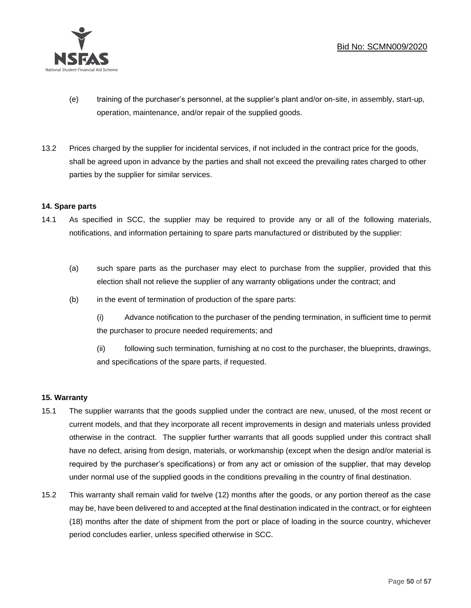

- (e) training of the purchaser's personnel, at the supplier's plant and/or on-site, in assembly, start-up, operation, maintenance, and/or repair of the supplied goods.
- 13.2 Prices charged by the supplier for incidental services, if not included in the contract price for the goods, shall be agreed upon in advance by the parties and shall not exceed the prevailing rates charged to other parties by the supplier for similar services.

# **14. Spare parts**

- 14.1 As specified in SCC, the supplier may be required to provide any or all of the following materials, notifications, and information pertaining to spare parts manufactured or distributed by the supplier:
	- (a) such spare parts as the purchaser may elect to purchase from the supplier, provided that this election shall not relieve the supplier of any warranty obligations under the contract; and
	- (b) in the event of termination of production of the spare parts:

(i) Advance notification to the purchaser of the pending termination, in sufficient time to permit the purchaser to procure needed requirements; and

(ii) following such termination, furnishing at no cost to the purchaser, the blueprints, drawings, and specifications of the spare parts, if requested.

# **15. Warranty**

- 15.1 The supplier warrants that the goods supplied under the contract are new, unused, of the most recent or current models, and that they incorporate all recent improvements in design and materials unless provided otherwise in the contract. The supplier further warrants that all goods supplied under this contract shall have no defect, arising from design, materials, or workmanship (except when the design and/or material is required by the purchaser's specifications) or from any act or omission of the supplier, that may develop under normal use of the supplied goods in the conditions prevailing in the country of final destination.
- 15.2 This warranty shall remain valid for twelve (12) months after the goods, or any portion thereof as the case may be, have been delivered to and accepted at the final destination indicated in the contract, or for eighteen (18) months after the date of shipment from the port or place of loading in the source country, whichever period concludes earlier, unless specified otherwise in SCC.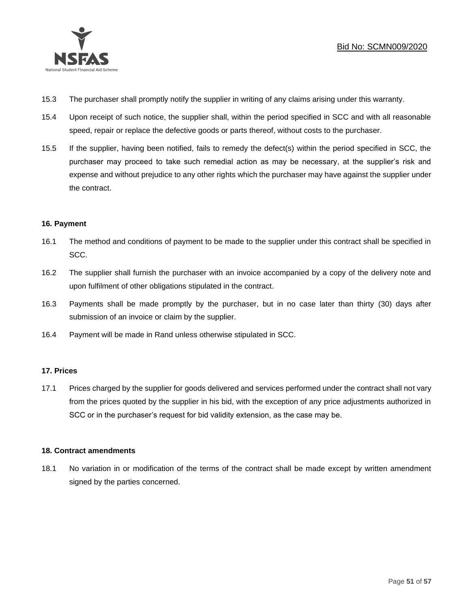

- 15.3 The purchaser shall promptly notify the supplier in writing of any claims arising under this warranty.
- 15.4 Upon receipt of such notice, the supplier shall, within the period specified in SCC and with all reasonable speed, repair or replace the defective goods or parts thereof, without costs to the purchaser.
- 15.5 If the supplier, having been notified, fails to remedy the defect(s) within the period specified in SCC, the purchaser may proceed to take such remedial action as may be necessary, at the supplier's risk and expense and without prejudice to any other rights which the purchaser may have against the supplier under the contract.

# **16. Payment**

- 16.1 The method and conditions of payment to be made to the supplier under this contract shall be specified in SCC.
- 16.2 The supplier shall furnish the purchaser with an invoice accompanied by a copy of the delivery note and upon fulfilment of other obligations stipulated in the contract.
- 16.3 Payments shall be made promptly by the purchaser, but in no case later than thirty (30) days after submission of an invoice or claim by the supplier.
- 16.4 Payment will be made in Rand unless otherwise stipulated in SCC.

# **17. Prices**

17.1 Prices charged by the supplier for goods delivered and services performed under the contract shall not vary from the prices quoted by the supplier in his bid, with the exception of any price adjustments authorized in SCC or in the purchaser's request for bid validity extension, as the case may be.

# **18. Contract amendments**

18.1 No variation in or modification of the terms of the contract shall be made except by written amendment signed by the parties concerned.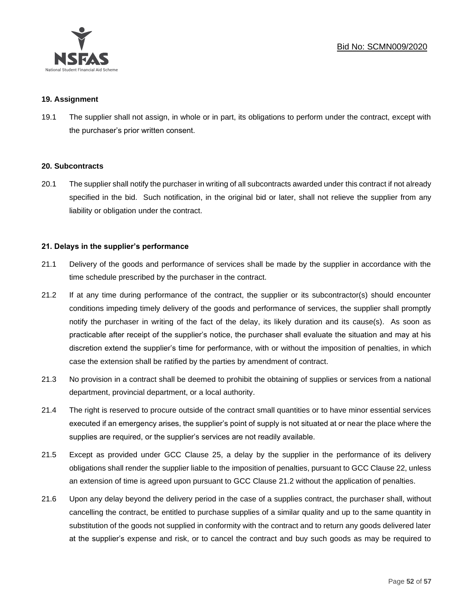

## **19. Assignment**

19.1 The supplier shall not assign, in whole or in part, its obligations to perform under the contract, except with the purchaser's prior written consent.

## **20. Subcontracts**

20.1 The supplier shall notify the purchaser in writing of all subcontracts awarded under this contract if not already specified in the bid. Such notification, in the original bid or later, shall not relieve the supplier from any liability or obligation under the contract.

# **21. Delays in the supplier's performance**

- 21.1 Delivery of the goods and performance of services shall be made by the supplier in accordance with the time schedule prescribed by the purchaser in the contract.
- 21.2 If at any time during performance of the contract, the supplier or its subcontractor(s) should encounter conditions impeding timely delivery of the goods and performance of services, the supplier shall promptly notify the purchaser in writing of the fact of the delay, its likely duration and its cause(s). As soon as practicable after receipt of the supplier's notice, the purchaser shall evaluate the situation and may at his discretion extend the supplier's time for performance, with or without the imposition of penalties, in which case the extension shall be ratified by the parties by amendment of contract.
- 21.3 No provision in a contract shall be deemed to prohibit the obtaining of supplies or services from a national department, provincial department, or a local authority.
- 21.4 The right is reserved to procure outside of the contract small quantities or to have minor essential services executed if an emergency arises, the supplier's point of supply is not situated at or near the place where the supplies are required, or the supplier's services are not readily available.
- 21.5 Except as provided under GCC Clause 25, a delay by the supplier in the performance of its delivery obligations shall render the supplier liable to the imposition of penalties, pursuant to GCC Clause 22, unless an extension of time is agreed upon pursuant to GCC Clause 21.2 without the application of penalties.
- 21.6 Upon any delay beyond the delivery period in the case of a supplies contract, the purchaser shall, without cancelling the contract, be entitled to purchase supplies of a similar quality and up to the same quantity in substitution of the goods not supplied in conformity with the contract and to return any goods delivered later at the supplier's expense and risk, or to cancel the contract and buy such goods as may be required to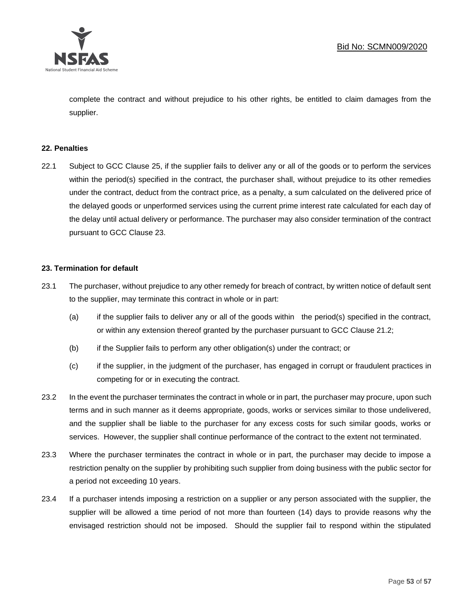

complete the contract and without prejudice to his other rights, be entitled to claim damages from the supplier.

## **22. Penalties**

22.1 Subject to GCC Clause 25, if the supplier fails to deliver any or all of the goods or to perform the services within the period(s) specified in the contract, the purchaser shall, without prejudice to its other remedies under the contract, deduct from the contract price, as a penalty, a sum calculated on the delivered price of the delayed goods or unperformed services using the current prime interest rate calculated for each day of the delay until actual delivery or performance. The purchaser may also consider termination of the contract pursuant to GCC Clause 23.

## **23. Termination for default**

- 23.1 The purchaser, without prejudice to any other remedy for breach of contract, by written notice of default sent to the supplier, may terminate this contract in whole or in part:
	- (a) if the supplier fails to deliver any or all of the goods within the period(s) specified in the contract, or within any extension thereof granted by the purchaser pursuant to GCC Clause 21.2;
	- (b) if the Supplier fails to perform any other obligation(s) under the contract; or
	- (c) if the supplier, in the judgment of the purchaser, has engaged in corrupt or fraudulent practices in competing for or in executing the contract.
- 23.2 In the event the purchaser terminates the contract in whole or in part, the purchaser may procure, upon such terms and in such manner as it deems appropriate, goods, works or services similar to those undelivered, and the supplier shall be liable to the purchaser for any excess costs for such similar goods, works or services. However, the supplier shall continue performance of the contract to the extent not terminated.
- 23.3 Where the purchaser terminates the contract in whole or in part, the purchaser may decide to impose a restriction penalty on the supplier by prohibiting such supplier from doing business with the public sector for a period not exceeding 10 years.
- 23.4 If a purchaser intends imposing a restriction on a supplier or any person associated with the supplier, the supplier will be allowed a time period of not more than fourteen (14) days to provide reasons why the envisaged restriction should not be imposed. Should the supplier fail to respond within the stipulated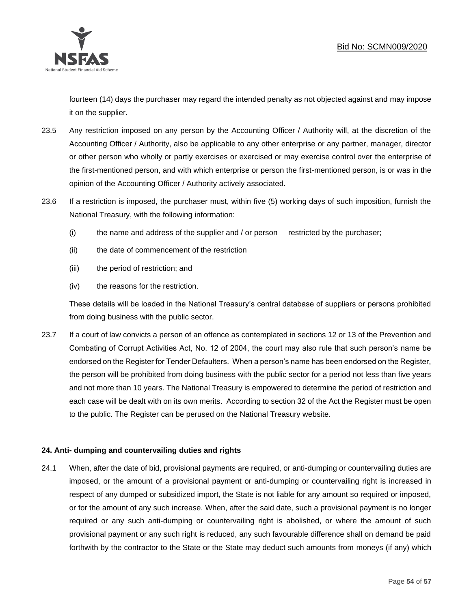

fourteen (14) days the purchaser may regard the intended penalty as not objected against and may impose it on the supplier.

- 23.5 Any restriction imposed on any person by the Accounting Officer / Authority will, at the discretion of the Accounting Officer / Authority, also be applicable to any other enterprise or any partner, manager, director or other person who wholly or partly exercises or exercised or may exercise control over the enterprise of the first-mentioned person, and with which enterprise or person the first-mentioned person, is or was in the opinion of the Accounting Officer / Authority actively associated.
- 23.6 If a restriction is imposed, the purchaser must, within five (5) working days of such imposition, furnish the National Treasury, with the following information:
	- (i) the name and address of the supplier and / or person restricted by the purchaser;
	- (ii) the date of commencement of the restriction
	- (iii) the period of restriction; and
	- (iv) the reasons for the restriction.

These details will be loaded in the National Treasury's central database of suppliers or persons prohibited from doing business with the public sector.

23.7 If a court of law convicts a person of an offence as contemplated in sections 12 or 13 of the Prevention and Combating of Corrupt Activities Act, No. 12 of 2004, the court may also rule that such person's name be endorsed on the Register for Tender Defaulters. When a person's name has been endorsed on the Register, the person will be prohibited from doing business with the public sector for a period not less than five years and not more than 10 years. The National Treasury is empowered to determine the period of restriction and each case will be dealt with on its own merits. According to section 32 of the Act the Register must be open to the public. The Register can be perused on the National Treasury website.

# **24. Anti- dumping and countervailing duties and rights**

24.1 When, after the date of bid, provisional payments are required, or anti-dumping or countervailing duties are imposed, or the amount of a provisional payment or anti-dumping or countervailing right is increased in respect of any dumped or subsidized import, the State is not liable for any amount so required or imposed, or for the amount of any such increase. When, after the said date, such a provisional payment is no longer required or any such anti-dumping or countervailing right is abolished, or where the amount of such provisional payment or any such right is reduced, any such favourable difference shall on demand be paid forthwith by the contractor to the State or the State may deduct such amounts from moneys (if any) which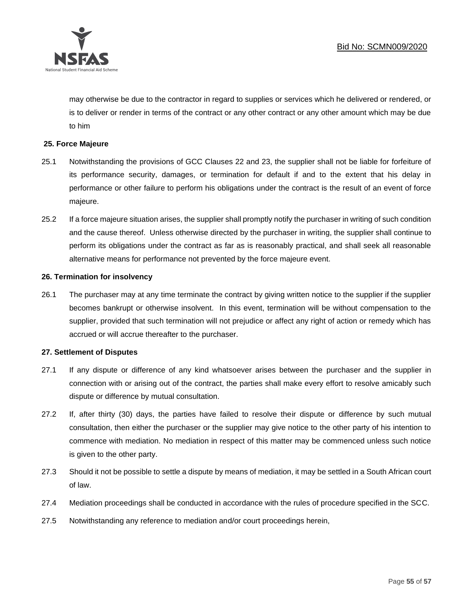

may otherwise be due to the contractor in regard to supplies or services which he delivered or rendered, or is to deliver or render in terms of the contract or any other contract or any other amount which may be due to him

# **25. Force Majeure**

- 25.1 Notwithstanding the provisions of GCC Clauses 22 and 23, the supplier shall not be liable for forfeiture of its performance security, damages, or termination for default if and to the extent that his delay in performance or other failure to perform his obligations under the contract is the result of an event of force majeure.
- 25.2 If a force majeure situation arises, the supplier shall promptly notify the purchaser in writing of such condition and the cause thereof. Unless otherwise directed by the purchaser in writing, the supplier shall continue to perform its obligations under the contract as far as is reasonably practical, and shall seek all reasonable alternative means for performance not prevented by the force majeure event.

## **26. Termination for insolvency**

26.1 The purchaser may at any time terminate the contract by giving written notice to the supplier if the supplier becomes bankrupt or otherwise insolvent. In this event, termination will be without compensation to the supplier, provided that such termination will not prejudice or affect any right of action or remedy which has accrued or will accrue thereafter to the purchaser.

## **27. Settlement of Disputes**

- 27.1 If any dispute or difference of any kind whatsoever arises between the purchaser and the supplier in connection with or arising out of the contract, the parties shall make every effort to resolve amicably such dispute or difference by mutual consultation.
- 27.2 If, after thirty (30) days, the parties have failed to resolve their dispute or difference by such mutual consultation, then either the purchaser or the supplier may give notice to the other party of his intention to commence with mediation. No mediation in respect of this matter may be commenced unless such notice is given to the other party.
- 27.3 Should it not be possible to settle a dispute by means of mediation, it may be settled in a South African court of law.
- 27.4 Mediation proceedings shall be conducted in accordance with the rules of procedure specified in the SCC.
- 27.5 Notwithstanding any reference to mediation and/or court proceedings herein,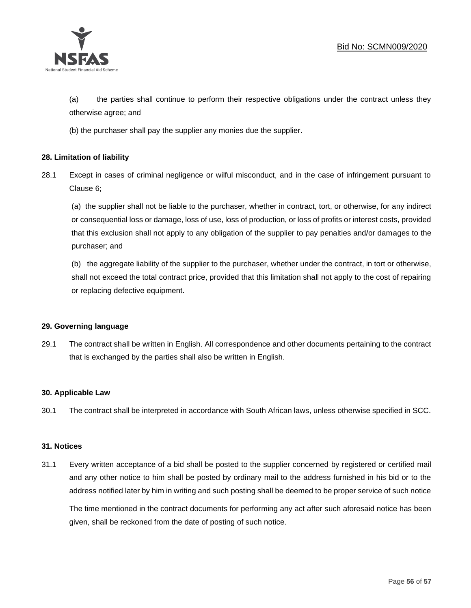

(a) the parties shall continue to perform their respective obligations under the contract unless they otherwise agree; and

(b) the purchaser shall pay the supplier any monies due the supplier.

# **28. Limitation of liability**

28.1 Except in cases of criminal negligence or wilful misconduct, and in the case of infringement pursuant to Clause 6;

(a) the supplier shall not be liable to the purchaser, whether in contract, tort, or otherwise, for any indirect or consequential loss or damage, loss of use, loss of production, or loss of profits or interest costs, provided that this exclusion shall not apply to any obligation of the supplier to pay penalties and/or damages to the purchaser; and

(b) the aggregate liability of the supplier to the purchaser, whether under the contract, in tort or otherwise, shall not exceed the total contract price, provided that this limitation shall not apply to the cost of repairing or replacing defective equipment.

## **29. Governing language**

29.1 The contract shall be written in English. All correspondence and other documents pertaining to the contract that is exchanged by the parties shall also be written in English.

## **30. Applicable Law**

30.1 The contract shall be interpreted in accordance with South African laws, unless otherwise specified in SCC.

## **31. Notices**

31.1 Every written acceptance of a bid shall be posted to the supplier concerned by registered or certified mail and any other notice to him shall be posted by ordinary mail to the address furnished in his bid or to the address notified later by him in writing and such posting shall be deemed to be proper service of such notice

The time mentioned in the contract documents for performing any act after such aforesaid notice has been given, shall be reckoned from the date of posting of such notice.